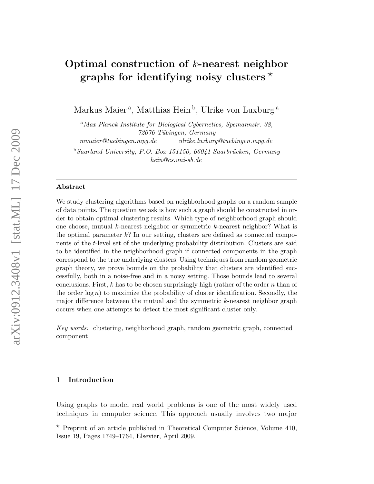# Optimal construction of k-nearest neighbor graphs for identifying noisy clusters  $\star$

Markus Maier<sup>a</sup>, Matthias Hein<sup>b</sup>, Ulrike von Luxburg<sup>a</sup>

<sup>a</sup>Max Planck Institute for Biological Cybernetics, Spemannstr. 38, 72076 Tübingen, Germany mmaier@tuebingen.mpg.de ulrike.luxburg@tuebingen.mpg.de

 $b$ Saarland University, P.O. Box 151150, 66041 Saarbrücken, Germany hein@cs.uni-sb.de

#### Abstract

We study clustering algorithms based on neighborhood graphs on a random sample of data points. The question we ask is how such a graph should be constructed in order to obtain optimal clustering results. Which type of neighborhood graph should one choose, mutual k-nearest neighbor or symmetric k-nearest neighbor? What is the optimal parameter k? In our setting, clusters are defined as connected components of the t-level set of the underlying probability distribution. Clusters are said to be identified in the neighborhood graph if connected components in the graph correspond to the true underlying clusters. Using techniques from random geometric graph theory, we prove bounds on the probability that clusters are identified successfully, both in a noise-free and in a noisy setting. Those bounds lead to several conclusions. First, k has to be chosen surprisingly high (rather of the order  $n$  than of the order  $log n$ ) to maximize the probability of cluster identification. Secondly, the major difference between the mutual and the symmetric k-nearest neighbor graph occurs when one attempts to detect the most significant cluster only.

Key words: clustering, neighborhood graph, random geometric graph, connected component

# 1 Introduction

Using graphs to model real world problems is one of the most widely used techniques in computer science. This approach usually involves two major

 $\overline{\star}$  Preprint of an article published in Theoretical Computer Science, Volume 410, Issue 19, Pages 1749–1764, Elsevier, April 2009.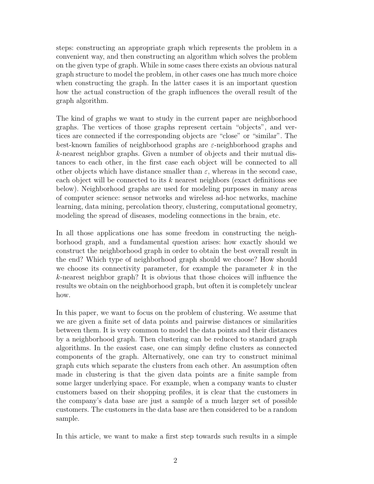steps: constructing an appropriate graph which represents the problem in a convenient way, and then constructing an algorithm which solves the problem on the given type of graph. While in some cases there exists an obvious natural graph structure to model the problem, in other cases one has much more choice when constructing the graph. In the latter cases it is an important question how the actual construction of the graph influences the overall result of the graph algorithm.

The kind of graphs we want to study in the current paper are neighborhood graphs. The vertices of those graphs represent certain "objects", and vertices are connected if the corresponding objects are "close" or "similar". The best-known families of neighborhood graphs are  $\varepsilon$ -neighborhood graphs and k-nearest neighbor graphs. Given a number of objects and their mutual distances to each other, in the first case each object will be connected to all other objects which have distance smaller than  $\varepsilon$ , whereas in the second case, each object will be connected to its  $k$  nearest neighbors (exact definitions see below). Neighborhood graphs are used for modeling purposes in many areas of computer science: sensor networks and wireless ad-hoc networks, machine learning, data mining, percolation theory, clustering, computational geometry, modeling the spread of diseases, modeling connections in the brain, etc.

In all those applications one has some freedom in constructing the neighborhood graph, and a fundamental question arises: how exactly should we construct the neighborhood graph in order to obtain the best overall result in the end? Which type of neighborhood graph should we choose? How should we choose its connectivity parameter, for example the parameter  $k$  in the k-nearest neighbor graph? It is obvious that those choices will influence the results we obtain on the neighborhood graph, but often it is completely unclear how.

In this paper, we want to focus on the problem of clustering. We assume that we are given a finite set of data points and pairwise distances or similarities between them. It is very common to model the data points and their distances by a neighborhood graph. Then clustering can be reduced to standard graph algorithms. In the easiest case, one can simply define clusters as connected components of the graph. Alternatively, one can try to construct minimal graph cuts which separate the clusters from each other. An assumption often made in clustering is that the given data points are a finite sample from some larger underlying space. For example, when a company wants to cluster customers based on their shopping profiles, it is clear that the customers in the company's data base are just a sample of a much larger set of possible customers. The customers in the data base are then considered to be a random sample.

In this article, we want to make a first step towards such results in a simple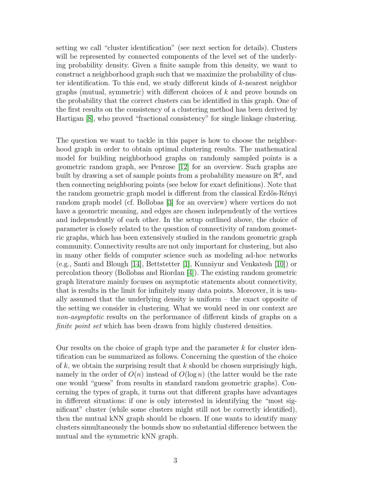setting we call "cluster identification" (see next section for details). Clusters will be represented by connected components of the level set of the underlying probability density. Given a finite sample from this density, we want to construct a neighborhood graph such that we maximize the probability of cluster identification. To this end, we study different kinds of k-nearest neighbor graphs (mutual, symmetric) with different choices of k and prove bounds on the probability that the correct clusters can be identified in this graph. One of the first results on the consistency of a clustering method has been derived by Hartigan [\[8\]](#page-29-0), who proved "fractional consistency" for single linkage clustering.

The question we want to tackle in this paper is how to choose the neighborhood graph in order to obtain optimal clustering results. The mathematical model for building neighborhood graphs on randomly sampled points is a geometric random graph, see Penrose [\[12\]](#page-30-0) for an overview. Such graphs are built by drawing a set of sample points from a probability measure on  $\mathbb{R}^d$ , and then connecting neighboring points (see below for exact definitions). Note that the random geometric graph model is different from the classical Erdős-Rényi random graph model (cf. Bollobas [\[3\]](#page-29-1) for an overview) where vertices do not have a geometric meaning, and edges are chosen independently of the vertices and independently of each other. In the setup outlined above, the choice of parameter is closely related to the question of connectivity of random geometric graphs, which has been extensively studied in the random geometric graph community. Connectivity results are not only important for clustering, but also in many other fields of computer science such as modeling ad-hoc networks (e.g., Santi and Blough [\[14\]](#page-30-1), Bettstetter [\[1\]](#page-29-2), Kunniyur and Venkatesh [\[10\]](#page-29-3)) or percolation theory (Bollobas and Riordan [\[4\]](#page-29-4)). The existing random geometric graph literature mainly focuses on asymptotic statements about connectivity, that is results in the limit for infinitely many data points. Moreover, it is usually assumed that the underlying density is uniform – the exact opposite of the setting we consider in clustering. What we would need in our context are non-asymptotic results on the performance of different kinds of graphs on a finite point set which has been drawn from highly clustered densities.

Our results on the choice of graph type and the parameter  $k$  for cluster identification can be summarized as follows. Concerning the question of the choice of k, we obtain the surprising result that  $k$  should be chosen surprisingly high, namely in the order of  $O(n)$  instead of  $O(\log n)$  (the latter would be the rate one would "guess" from results in standard random geometric graphs). Concerning the types of graph, it turns out that different graphs have advantages in different situations: if one is only interested in identifying the "most significant" cluster (while some clusters might still not be correctly identified), then the mutual kNN graph should be chosen. If one wants to identify many clusters simultaneously the bounds show no substantial difference between the mutual and the symmetric kNN graph.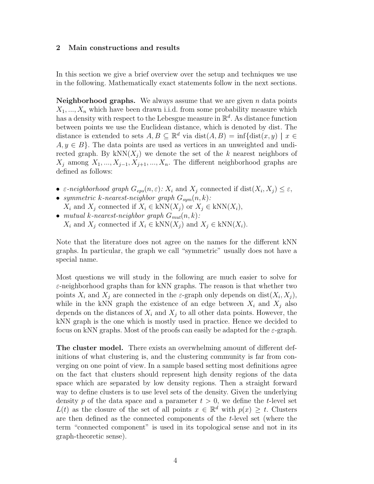# 2 Main constructions and results

In this section we give a brief overview over the setup and techniques we use in the following. Mathematically exact statements follow in the next sections.

**Neighborhood graphs.** We always assume that we are given  $n$  data points  $X_1, ..., X_n$  which have been drawn i.i.d. from some probability measure which has a density with respect to the Lebesgue measure in  $\mathbb{R}^d$ . As distance function between points we use the Euclidean distance, which is denoted by dist. The distance is extended to sets  $A, B \subseteq \mathbb{R}^d$  via  $dist(A, B) = inf{dist(x, y) | x \in \mathbb{R}^d}$  $A, y \in B$ . The data points are used as vertices in an unweighted and undirected graph. By  $kNN(X_i)$  we denote the set of the k nearest neighbors of  $X_j$  among  $X_1, ..., X_{j-1}, X_{j+1}, ..., X_n$ . The different neighborhood graphs are defined as follows:

- $\varepsilon$ -neighborhood graph  $G_{eps}(n, \varepsilon)$ :  $X_i$  and  $X_j$  connected if dist $(X_i, X_j) \leq \varepsilon$ ,
- symmetric k-nearest-neighbor graph  $G_{sym}(n, k)$ :
	- $X_i$  and  $X_j$  connected if  $X_i \in kNN(X_j)$  or  $X_j \in kNN(X_i)$ ,
- mutual k-nearest-neighbor graph  $G_{mut}(n, k)$ :  $X_i$  and  $X_j$  connected if  $X_i \in kNN(X_j)$  and  $X_j \in kNN(X_i)$ .

Note that the literature does not agree on the names for the different kNN graphs. In particular, the graph we call "symmetric" usually does not have a special name.

Most questions we will study in the following are much easier to solve for  $\varepsilon$ -neighborhood graphs than for kNN graphs. The reason is that whether two points  $X_i$  and  $X_j$  are connected in the  $\varepsilon$ -graph only depends on dist $(X_i, X_j)$ , while in the kNN graph the existence of an edge between  $X_i$  and  $X_j$  also depends on the distances of  $X_i$  and  $X_j$  to all other data points. However, the kNN graph is the one which is mostly used in practice. Hence we decided to focus on kNN graphs. Most of the proofs can easily be adapted for the  $\varepsilon$ -graph.

The cluster model. There exists an overwhelming amount of different definitions of what clustering is, and the clustering community is far from converging on one point of view. In a sample based setting most definitions agree on the fact that clusters should represent high density regions of the data space which are separated by low density regions. Then a straight forward way to define clusters is to use level sets of the density. Given the underlying density p of the data space and a parameter  $t > 0$ , we define the t-level set  $L(t)$  as the closure of the set of all points  $x \in \mathbb{R}^d$  with  $p(x) \geq t$ . Clusters are then defined as the connected components of the t-level set (where the term "connected component" is used in its topological sense and not in its graph-theoretic sense).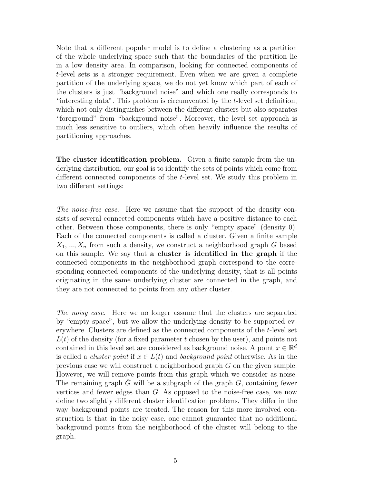Note that a different popular model is to define a clustering as a partition of the whole underlying space such that the boundaries of the partition lie in a low density area. In comparison, looking for connected components of t-level sets is a stronger requirement. Even when we are given a complete partition of the underlying space, we do not yet know which part of each of the clusters is just "background noise" and which one really corresponds to "interesting data". This problem is circumvented by the t-level set definition, which not only distinguishes between the different clusters but also separates "foreground" from "background noise". Moreover, the level set approach is much less sensitive to outliers, which often heavily influence the results of partitioning approaches.

The cluster identification problem. Given a finite sample from the underlying distribution, our goal is to identify the sets of points which come from different connected components of the t-level set. We study this problem in two different settings:

The noise-free case. Here we assume that the support of the density consists of several connected components which have a positive distance to each other. Between those components, there is only "empty space" (density 0). Each of the connected components is called a cluster. Given a finite sample  $X_1, ..., X_n$  from such a density, we construct a neighborhood graph G based on this sample. We say that a cluster is identified in the graph if the connected components in the neighborhood graph correspond to the corresponding connected components of the underlying density, that is all points originating in the same underlying cluster are connected in the graph, and they are not connected to points from any other cluster.

The noisy case. Here we no longer assume that the clusters are separated by "empty space", but we allow the underlying density to be supported everywhere. Clusters are defined as the connected components of the t-level set  $L(t)$  of the density (for a fixed parameter t chosen by the user), and points not contained in this level set are considered as background noise. A point  $x \in \mathbb{R}^d$ is called a *cluster point* if  $x \in L(t)$  and *background point* otherwise. As in the previous case we will construct a neighborhood graph G on the given sample. However, we will remove points from this graph which we consider as noise. The remaining graph  $G$  will be a subgraph of the graph  $G$ , containing fewer vertices and fewer edges than G. As opposed to the noise-free case, we now define two slightly different cluster identification problems. They differ in the way background points are treated. The reason for this more involved construction is that in the noisy case, one cannot guarantee that no additional background points from the neighborhood of the cluster will belong to the graph.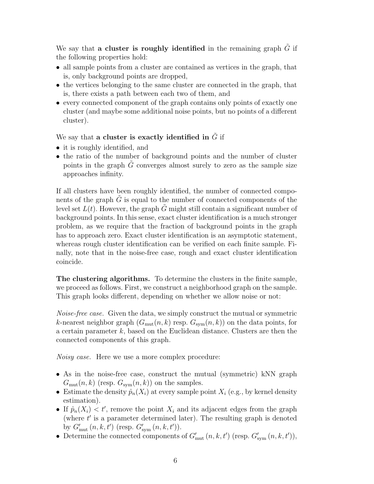We say that a cluster is roughly identified in the remaining graph  $G$  if the following properties hold:

- all sample points from a cluster are contained as vertices in the graph, that is, only background points are dropped,
- the vertices belonging to the same cluster are connected in the graph, that is, there exists a path between each two of them, and
- every connected component of the graph contains only points of exactly one cluster (and maybe some additional noise points, but no points of a different cluster).

We say that a cluster is exactly identified in  $\tilde{G}$  if

- it is roughly identified, and
- the ratio of the number of background points and the number of cluster points in the graph  $\tilde{G}$  converges almost surely to zero as the sample size approaches infinity.

If all clusters have been roughly identified, the number of connected components of the graph  $\tilde{G}$  is equal to the number of connected components of the level set  $L(t)$ . However, the graph G might still contain a significant number of background points. In this sense, exact cluster identification is a much stronger problem, as we require that the fraction of background points in the graph has to approach zero. Exact cluster identification is an asymptotic statement, whereas rough cluster identification can be verified on each finite sample. Finally, note that in the noise-free case, rough and exact cluster identification coincide.

The clustering algorithms. To determine the clusters in the finite sample, we proceed as follows. First, we construct a neighborhood graph on the sample. This graph looks different, depending on whether we allow noise or not:

Noise-free case. Given the data, we simply construct the mutual or symmetric k-nearest neighbor graph  $(G_{\text{mut}}(n, k)$  resp.  $G_{\text{sym}}(n, k)$  on the data points, for a certain parameter  $k$ , based on the Euclidean distance. Clusters are then the connected components of this graph.

Noisy case. Here we use a more complex procedure:

- As in the noise-free case, construct the mutual (symmetric) kNN graph  $G_{\text{mut}}(n,k)$  (resp.  $G_{\text{sym}}(n,k)$ ) on the samples.
- Estimate the density  $\hat{p}_n(X_i)$  at every sample point  $X_i$  (e.g., by kernel density estimation).
- If  $\hat{p}_n(X_i) < t'$ , remove the point  $X_i$  and its adjacent edges from the graph (where  $t'$  is a parameter determined later). The resulting graph is denoted by  $G'_{\text{mut}}(n, k, t')$  (resp.  $G'_{\text{sym}}(n, k, t')$ ).
- Determine the connected components of  $G'_{\text{mut}}(n, k, t')$  (resp.  $G'_{\text{sym}}(n, k, t')$ ),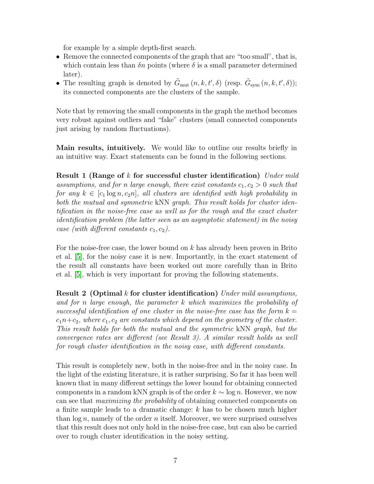for example by a simple depth-first search.

- Remove the connected components of the graph that are "too small", that is, which contain less than  $\delta n$  points (where  $\delta$  is a small parameter determined later).
- The resulting graph is denoted by  $\tilde{G}_{\text{mut}}(n, k, t', \delta)$  (resp.  $\tilde{G}_{\text{sym}}(n, k, t', \delta)$ ); its connected components are the clusters of the sample.

Note that by removing the small components in the graph the method becomes very robust against outliers and "fake" clusters (small connected components just arising by random fluctuations).

Main results, intuitively. We would like to outline our results briefly in an intuitive way. Exact statements can be found in the following sections.

Result 1 (Range of k for successful cluster identification) Under mild assumptions, and for n large enough, there exist constants  $c_1, c_2 > 0$  such that for any  $k \in [c_1 \log n, c_2n]$ , all clusters are identified with high probability in both the mutual and symmetric kNN graph. This result holds for cluster identification in the noise-free case as well as for the rough and the exact cluster identification problem (the latter seen as an asymptotic statement) in the noisy case (with different constants  $c_1, c_2$ ).

For the noise-free case, the lower bound on  $k$  has already been proven in Brito et al. [\[5\]](#page-29-5), for the noisy case it is new. Importantly, in the exact statement of the result all constants have been worked out more carefully than in Brito et al. [\[5\]](#page-29-5), which is very important for proving the following statements.

**Result 2** (Optimal k for cluster identification) Under mild assumptions, and for n large enough, the parameter k which maximizes the probability of successful identification of one cluster in the noise-free case has the form  $k =$  $c_1n+c_2$ , where  $c_1, c_2$  are constants which depend on the geometry of the cluster. This result holds for both the mutual and the symmetric kNN graph, but the convergence rates are different (see Result 3). A similar result holds as well for rough cluster identification in the noisy case, with different constants.

This result is completely new, both in the noise-free and in the noisy case. In the light of the existing literature, it is rather surprising. So far it has been well known that in many different settings the lower bound for obtaining connected components in a random kNN graph is of the order  $k \sim \log n$ . However, we now can see that maximizing the probability of obtaining connected components on a finite sample leads to a dramatic change: k has to be chosen much higher than  $\log n$ , namely of the order *n* itself. Moreover, we were surprised ourselves that this result does not only hold in the noise-free case, but can also be carried over to rough cluster identification in the noisy setting.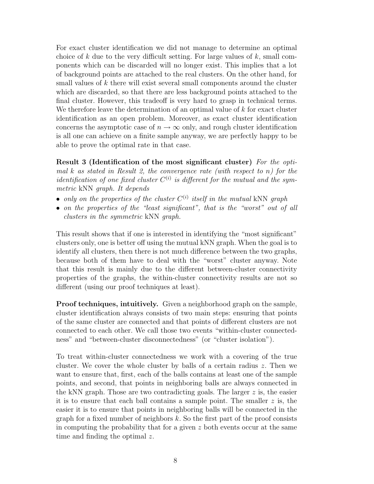For exact cluster identification we did not manage to determine an optimal choice of  $k$  due to the very difficult setting. For large values of  $k$ , small components which can be discarded will no longer exist. This implies that a lot of background points are attached to the real clusters. On the other hand, for small values of k there will exist several small components around the cluster which are discarded, so that there are less background points attached to the final cluster. However, this tradeoff is very hard to grasp in technical terms. We therefore leave the determination of an optimal value of  $k$  for exact cluster identification as an open problem. Moreover, as exact cluster identification concerns the asymptotic case of  $n \to \infty$  only, and rough cluster identification is all one can achieve on a finite sample anyway, we are perfectly happy to be able to prove the optimal rate in that case.

Result 3 (Identification of the most significant cluster) For the optimal k as stated in Result 2, the convergence rate (with respect to  $n$ ) for the identification of one fixed cluster  $C^{(i)}$  is different for the mutual and the symmetric kNN graph. It depends

- only on the properties of the cluster  $C^{(i)}$  itself in the mutual kNN graph
- on the properties of the "least significant", that is the "worst" out of all clusters in the symmetric kNN graph.

This result shows that if one is interested in identifying the "most significant" clusters only, one is better off using the mutual kNN graph. When the goal is to identify all clusters, then there is not much difference between the two graphs, because both of them have to deal with the "worst" cluster anyway. Note that this result is mainly due to the different between-cluster connectivity properties of the graphs, the within-cluster connectivity results are not so different (using our proof techniques at least).

Proof techniques, intuitively. Given a neighborhood graph on the sample, cluster identification always consists of two main steps: ensuring that points of the same cluster are connected and that points of different clusters are not connected to each other. We call those two events "within-cluster connectedness" and "between-cluster disconnectedness" (or "cluster isolation").

To treat within-cluster connectedness we work with a covering of the true cluster. We cover the whole cluster by balls of a certain radius z. Then we want to ensure that, first, each of the balls contains at least one of the sample points, and second, that points in neighboring balls are always connected in the kNN graph. Those are two contradicting goals. The larger  $z$  is, the easier it is to ensure that each ball contains a sample point. The smaller  $z$  is, the easier it is to ensure that points in neighboring balls will be connected in the graph for a fixed number of neighbors  $k$ . So the first part of the proof consists in computing the probability that for a given  $z$  both events occur at the same time and finding the optimal z.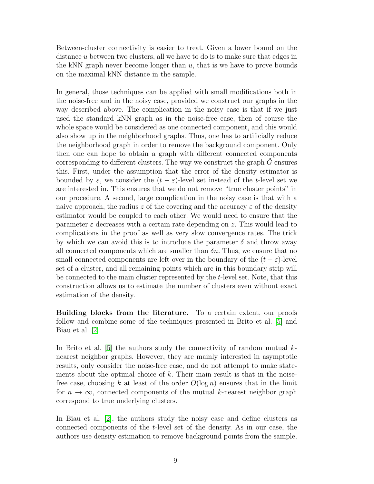Between-cluster connectivity is easier to treat. Given a lower bound on the distance u between two clusters, all we have to do is to make sure that edges in the kNN graph never become longer than  $u$ , that is we have to prove bounds on the maximal kNN distance in the sample.

In general, those techniques can be applied with small modifications both in the noise-free and in the noisy case, provided we construct our graphs in the way described above. The complication in the noisy case is that if we just used the standard kNN graph as in the noise-free case, then of course the whole space would be considered as one connected component, and this would also show up in the neighborhood graphs. Thus, one has to artificially reduce the neighborhood graph in order to remove the background component. Only then one can hope to obtain a graph with different connected components corresponding to different clusters. The way we construct the graph  $G$  ensures this. First, under the assumption that the error of the density estimator is bounded by  $\varepsilon$ , we consider the  $(t - \varepsilon)$ -level set instead of the t-level set we are interested in. This ensures that we do not remove "true cluster points" in our procedure. A second, large complication in the noisy case is that with a naive approach, the radius z of the covering and the accuracy  $\varepsilon$  of the density estimator would be coupled to each other. We would need to ensure that the parameter  $\varepsilon$  decreases with a certain rate depending on z. This would lead to complications in the proof as well as very slow convergence rates. The trick by which we can avoid this is to introduce the parameter  $\delta$  and throw away all connected components which are smaller than  $\delta n$ . Thus, we ensure that no small connected components are left over in the boundary of the  $(t - \varepsilon)$ -level set of a cluster, and all remaining points which are in this boundary strip will be connected to the main cluster represented by the t-level set. Note, that this construction allows us to estimate the number of clusters even without exact estimation of the density.

Building blocks from the literature. To a certain extent, our proofs follow and combine some of the techniques presented in Brito et al. [\[5\]](#page-29-5) and Biau et al. [\[2\]](#page-29-6).

In Brito et al.  $[5]$  the authors study the connectivity of random mutual  $k$ nearest neighbor graphs. However, they are mainly interested in asymptotic results, only consider the noise-free case, and do not attempt to make statements about the optimal choice of  $k$ . Their main result is that in the noisefree case, choosing k at least of the order  $O(\log n)$  ensures that in the limit for  $n \to \infty$ , connected components of the mutual k-nearest neighbor graph correspond to true underlying clusters.

In Biau et al. [\[2\]](#page-29-6), the authors study the noisy case and define clusters as connected components of the t-level set of the density. As in our case, the authors use density estimation to remove background points from the sample,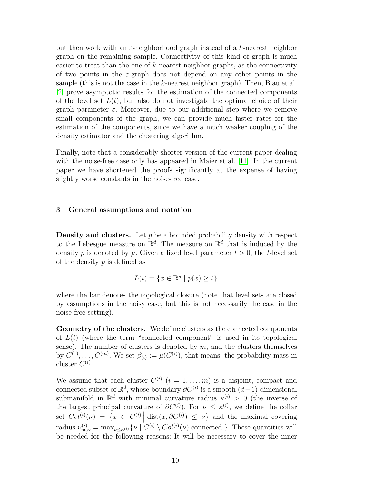but then work with an  $\varepsilon$ -neighborhood graph instead of a k-nearest neighbor graph on the remaining sample. Connectivity of this kind of graph is much easier to treat than the one of  $k$ -nearest neighbor graphs, as the connectivity of two points in the  $\varepsilon$ -graph does not depend on any other points in the sample (this is not the case in the k-nearest neighbor graph). Then, Biau et al. [\[2\]](#page-29-6) prove asymptotic results for the estimation of the connected components of the level set  $L(t)$ , but also do not investigate the optimal choice of their graph parameter  $\varepsilon$ . Moreover, due to our additional step where we remove small components of the graph, we can provide much faster rates for the estimation of the components, since we have a much weaker coupling of the density estimator and the clustering algorithm.

Finally, note that a considerably shorter version of the current paper dealing with the noise-free case only has appeared in Maier et al. [\[11\]](#page-29-7). In the current paper we have shortened the proofs significantly at the expense of having slightly worse constants in the noise-free case.

# 3 General assumptions and notation

**Density and clusters.** Let  $p$  be a bounded probability density with respect to the Lebesgue measure on  $\mathbb{R}^d$ . The measure on  $\mathbb{R}^d$  that is induced by the density p is denoted by  $\mu$ . Given a fixed level parameter  $t > 0$ , the t-level set of the density  $p$  is defined as

$$
L(t) = \overline{\{x \in \mathbb{R}^d \mid p(x) \ge t\}}.
$$

where the bar denotes the topological closure (note that level sets are closed by assumptions in the noisy case, but this is not necessarily the case in the noise-free setting).

Geometry of the clusters. We define clusters as the connected components of  $L(t)$  (where the term "connected component" is used in its topological sense). The number of clusters is denoted by  $m$ , and the clusters themselves by  $C^{(1)}, \ldots, C^{(m)}$ . We set  $\beta_{(i)} := \mu(C^{(i)})$ , that means, the probability mass in cluster  $C^{(i)}$ .

We assume that each cluster  $C^{(i)}$   $(i = 1, \ldots, m)$  is a disjoint, compact and connected subset of  $\mathbb{R}^d$ , whose boundary  $\partial C^{(i)}$  is a smooth  $(d-1)$ -dimensional submanifold in  $\mathbb{R}^d$  with minimal curvature radius  $\kappa^{(i)} > 0$  (the inverse of the largest principal curvature of  $\partial C^{(i)}$ ). For  $\nu \leq \kappa^{(i)}$ , we define the collar set  $Col^{(i)}(\nu) = \{x \in C^{(i)} | \text{dist}(x, \partial C^{(i)}) \leq \nu\}$  and the maximal covering radius  $\nu_{\max}^{(i)} = \max_{\nu \leq \kappa^{(i)}} \{ \nu \mid C^{(i)} \setminus Col^{(i)}(\nu) \text{ connected } \}.$  These quantities will be needed for the following reasons: It will be necessary to cover the inner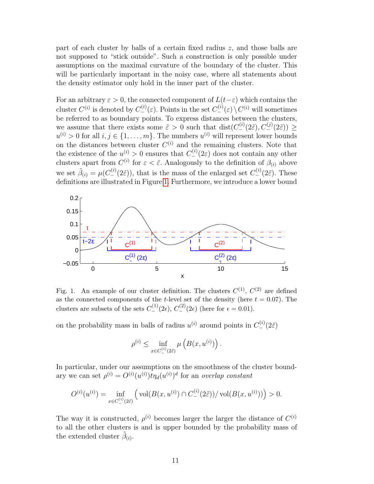part of each cluster by balls of a certain fixed radius  $z$ , and those balls are not supposed to "stick outside". Such a construction is only possible under assumptions on the maximal curvature of the boundary of the cluster. This will be particularly important in the noisy case, where all statements about the density estimator only hold in the inner part of the cluster.

For an arbitrary  $\varepsilon > 0$ , the connected component of  $L(t-\varepsilon)$  which contains the cluster  $C^{(i)}$  is denoted by  $C^{(i)}_-(\varepsilon)$ . Points in the set  $C^{(i)}_-(\varepsilon) \setminus C^{(i)}$  will sometimes be referred to as boundary points. To express distances between the clusters, we assume that there exists some  $\tilde{\varepsilon} > 0$  such that  $dist(C_{-}^{(i)}(2\tilde{\varepsilon}), C_{-}^{(j)}(2\tilde{\varepsilon})) \geq$  $u^{(i)} > 0$  for all  $i, j \in \{1, \ldots, m\}$ . The numbers  $u^{(i)}$  will represent lower bounds on the distances between cluster  $C^{(i)}$  and the remaining clusters. Note that the existence of the  $u^{(i)} > 0$  ensures that  $C_{-}^{(i)}(2\varepsilon)$  does not contain any other clusters apart from  $C^{(i)}$  for  $\varepsilon < \tilde{\varepsilon}$ . Analogously to the definition of  $\beta_{(i)}$  above we set  $\tilde{\beta}_{(i)} = \mu(C_{-}^{(i)}(2\tilde{\varepsilon}))$ , that is the mass of the enlarged set  $C_{-}^{(i)}(2\tilde{\varepsilon})$ . These definitions are illustrated in Figure [1.](#page-10-0) Furthermore, we introduce a lower bound



<span id="page-10-0"></span>Fig. 1. An example of our cluster definition. The clusters  $C^{(1)}$ ,  $C^{(2)}$  are defined as the connected components of the t-level set of the density (here  $t = 0.07$ ). The clusters are subsets of the sets  $C_{-}^{(1)}(2\epsilon)$ ,  $C_{-}^{(2)}(2\epsilon)$  (here for  $\epsilon = 0.01$ ).

on the probability mass in balls of radius  $u^{(i)}$  around points in  $C_{-}^{(i)}(2\tilde{\varepsilon})$ 

$$
\rho^{(i)} \leq \inf_{x \in C^{(i)}_-(2\tilde{\varepsilon})} \mu\left(B(x, u^{(i)})\right).
$$

In particular, under our assumptions on the smoothness of the cluster boundary we can set  $\rho^{(i)} = O^{(i)}(u^{(i)}) \nmid t \eta_d(u^{(i)})^d$  for an *overlap constant* 

$$
O^{(i)}(u^{(i)}) = \inf_{x \in C^{(i)}_-(2\tilde{\varepsilon})} \left( \text{vol}(B(x, u^{(i)}) \cap C^{(i)}_-(2\tilde{\varepsilon})) / \text{vol}(B(x, u^{(i)})) \right) > 0.
$$

The way it is constructed,  $\rho^{(i)}$  becomes larger the larger the distance of  $C^{(i)}$ to all the other clusters is and is upper bounded by the probability mass of the extended cluster  $\tilde{\beta}_{(i)}$ .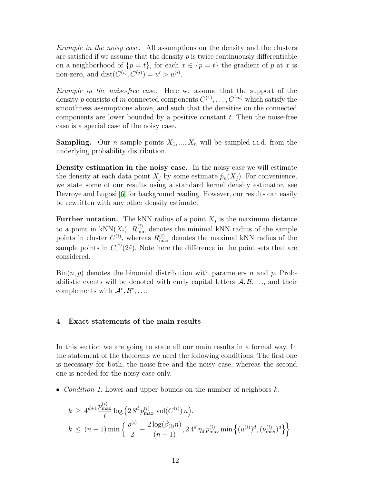Example in the noisy case. All assumptions on the density and the clusters are satisfied if we assume that the density  $p$  is twice continuously differentiable on a neighborhood of  $\{p = t\}$ , for each  $x \in \{p = t\}$  the gradient of p at x is non-zero, and  $dist(C^{(i)}, C^{(j)}) = u' > u^{(i)}$ .

Example in the noise-free case. Here we assume that the support of the density p consists of m connected components  $C^{(1)}, \ldots, C^{(m)}$  which satisfy the smoothness assumptions above, and such that the densities on the connected components are lower bounded by a positive constant  $t$ . Then the noise-free case is a special case of the noisy case.

**Sampling.** Our *n* sample points  $X_1, ..., X_n$  will be sampled i.i.d. from the underlying probability distribution.

Density estimation in the noisy case. In the noisy case we will estimate the density at each data point  $X_j$  by some estimate  $\hat{p}_n(X_j)$ . For convenience, we state some of our results using a standard kernel density estimator, see Devroye and Lugosi [\[6\]](#page-29-8) for background reading. However, our results can easily be rewritten with any other density estimate.

**Further notation.** The kNN radius of a point  $X_j$  is the maximum distance to a point in  $kNN(X_i)$ .  $R_{\min}^{(i)}$  denotes the minimal kNN radius of the sample points in cluster  $C^{(i)}$ , whereas  $\tilde{R}_{\max}^{(i)}$  denotes the maximal kNN radius of the sample points in  $C_{-}^{(i)}(2\tilde{\varepsilon})$ . Note here the difference in the point sets that are considered.

 $\text{Bin}(n, p)$  denotes the binomial distribution with parameters n and p. Probabilistic events will be denoted with curly capital letters  $A, B, \ldots$ , and their complements with  $\mathcal{A}^c, \mathcal{B}^c, \ldots$ 

# 4 Exact statements of the main results

In this section we are going to state all our main results in a formal way. In the statement of the theorems we need the following conditions. The first one is necessary for both, the noise-free and the noisy case, whereas the second one is needed for the noisy case only.

• *Condition 1:* Lower and upper bounds on the number of neighbors  $k$ ,

$$
k \ge 4^{d+1} \frac{p_{\text{max}}^{(i)}}{t} \log \left( 2 \, 8^d \, p_{\text{max}}^{(i)} \, \text{vol}(C^{(i)}) \, n \right),
$$
  

$$
k \le (n-1) \min \left\{ \frac{\rho^{(i)}}{2} - \frac{2 \log(\tilde{\beta}_{(i)} n)}{(n-1)}, 2 \, 4^d \, \eta_d \, p_{\text{max}}^{(i)} \min \left\{ (u^{(i)})^d, (\nu_{\text{max}}^{(i)})^d \right\} \right\}.
$$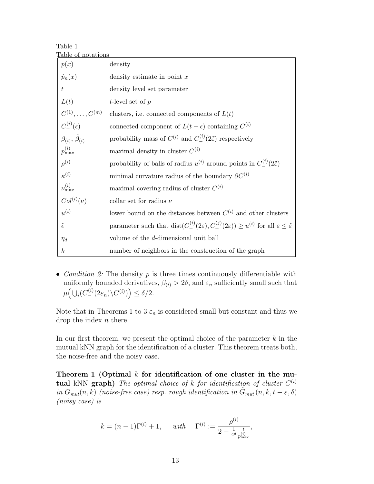Table 1 Table of notations

| ranic of motations                 |                                                                                                                                              |
|------------------------------------|----------------------------------------------------------------------------------------------------------------------------------------------|
| p(x)                               | density                                                                                                                                      |
| $\hat{p}_n(x)$                     | density estimate in point $x$                                                                                                                |
| t                                  | density level set parameter                                                                                                                  |
| L(t)                               | t-level set of $p$                                                                                                                           |
| $C^{(1)}, \ldots, C^{(m)}$         | clusters, i.e. connected components of $L(t)$                                                                                                |
| $C_{-}^{(i)}(\epsilon)$            | connected component of $L(t - \epsilon)$ containing $C^{(i)}$                                                                                |
| $\beta_{(i)}, \tilde{\beta}_{(i)}$ | probability mass of $C^{(i)}$ and $C^{(i)}_{-}(2\tilde{\varepsilon})$ respectively                                                           |
| $p_{\max}^{(i)}$                   | maximal density in cluster $C^{(i)}$                                                                                                         |
| $\rho^{(i)}$                       | probability of balls of radius $u^{(i)}$ around points in $C_{-}^{(i)}(2\tilde{\varepsilon})$                                                |
| $\kappa^{(i)}$                     | minimal curvature radius of the boundary $\partial C^{(i)}$                                                                                  |
| $\nu_{\max}^{(i)}$                 | maximal covering radius of cluster $C^{(i)}$                                                                                                 |
| $Col^{(i)}(\nu)$                   | collar set for radius $\nu$                                                                                                                  |
| $u^{(i)}$                          | lower bound on the distances between $C^{(i)}$ and other clusters                                                                            |
| $\tilde{\epsilon}$                 | parameter such that $dist(C_{-}^{(i)}(2\varepsilon), C_{-}^{(j)}(2\varepsilon)) \geq u^{(i)}$ for all $\varepsilon \leq \tilde{\varepsilon}$ |
| $\eta_d$                           | volume of the d-dimensional unit ball                                                                                                        |
| $\boldsymbol{k}$                   | number of neighbors in the construction of the graph                                                                                         |

• Condition 2: The density  $p$  is three times continuously differentiable with uniformly bounded derivatives,  $\beta_{(i)} > 2\delta$ , and  $\varepsilon_n$  sufficiently small such that  $\mu\big(\bigcup_i (C^{(i)}_-(2\varepsilon_n)\setminus C^{(i)})\big) \leq \delta/2.$ 

Note that in Theorems 1 to 3  $\varepsilon_n$  is considered small but constant and thus we drop the index  $n$  there.

In our first theorem, we present the optimal choice of the parameter  $k$  in the mutual kNN graph for the identification of a cluster. This theorem treats both, the noise-free and the noisy case.

<span id="page-12-0"></span>Theorem 1 (Optimal  $k$  for identification of one cluster in the mutual kNN graph) The optimal choice of k for identification of cluster  $C^{(i)}$ in  $G_{mut}(n, k)$  (noise-free case) resp. rough identification in  $\tilde{G}_{mut}(n, k, t - \varepsilon, \delta)$ (noisy case) is

$$
k = (n-1)\Gamma^{(i)} + 1
$$
, with  $\Gamma^{(i)} := \frac{\rho^{(i)}}{2 + \frac{1}{4^d} \frac{t}{p_{\max}^{(i)}}}$ ,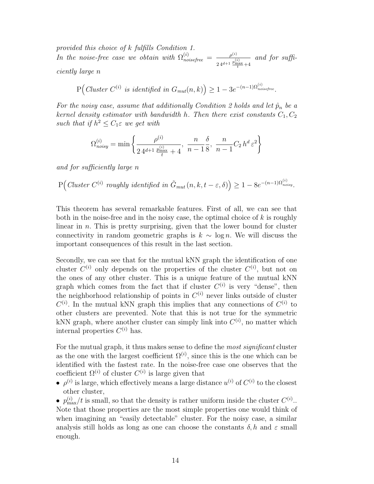provided this choice of k fulfills Condition 1. In the noise-free case we obtain with  $\Omega_{noisefree}^{(i)} = \frac{\rho^{(i)}}{\sqrt{N}}$  $24^{d+1} \frac{p_{\text{max}}^{(i)}}{t} + 4$ and for sufficiently large n

$$
P\Big(Cluster\ C^{(i)}\ \ is\ identified\ \ in\ G_{mut}(n,k)\Big) \ge 1 - 3e^{-(n-1)\Omega_{noisefree}^{(i)}}.
$$

For the noisy case, assume that additionally Condition 2 holds and let  $\hat{p}_n$  be a kernel density estimator with bandwidth h. Then there exist constants  $C_1, C_2$ such that if  $h^2 \leq C_1 \varepsilon$  we get with

$$
\Omega_{noisy}^{(i)} = \min \left\{ \frac{\rho^{(i)}}{2 \, 4^{d+1} \, \frac{p_{\text{max}}^{(i)}}{t} + 4}, \, \, \frac{n}{n-1} \frac{\delta}{8}, \, \frac{n}{n-1} C_2 \, h^d \, \varepsilon^2 \right\}
$$

and for sufficiently large n

 $P\left( Cluster~C^{(i)}~roughly~identified~in~\tilde{G}_{mut}(n, k, t - \varepsilon, \delta) \right) \geq 1 - 8e^{-(n-1)\Omega_{noisy}^{(i)}}.$ 

This theorem has several remarkable features. First of all, we can see that both in the noise-free and in the noisy case, the optimal choice of  $k$  is roughly linear in n. This is pretty surprising, given that the lower bound for cluster connectivity in random geometric graphs is  $k \sim \log n$ . We will discuss the important consequences of this result in the last section.

Secondly, we can see that for the mutual kNN graph the identification of one cluster  $C^{(i)}$  only depends on the properties of the cluster  $C^{(i)}$ , but not on the ones of any other cluster. This is a unique feature of the mutual kNN graph which comes from the fact that if cluster  $C^{(i)}$  is very "dense", then the neighborhood relationship of points in  $C^{(i)}$  never links outside of cluster  $C^{(i)}$ . In the mutual kNN graph this implies that any connections of  $C^{(i)}$  to other clusters are prevented. Note that this is not true for the symmetric kNN graph, where another cluster can simply link into  $C^{(i)}$ , no matter which internal properties  $C^{(i)}$  has.

For the mutual graph, it thus makes sense to define the *most significant* cluster as the one with the largest coefficient  $\Omega^{(i)}$ , since this is the one which can be identified with the fastest rate. In the noise-free case one observes that the coefficient  $\Omega^{(i)}$  of cluster  $C^{(i)}$  is large given that

•  $\rho^{(i)}$  is large, which effectively means a large distance  $u^{(i)}$  of  $C^{(i)}$  to the closest other cluster,

•  $p_{\text{max}}^{(i)}/t$  is small, so that the density is rather uniform inside the cluster  $C^{(i)}$ . Note that those properties are the most simple properties one would think of when imagining an "easily detectable" cluster. For the noisy case, a similar analysis still holds as long as one can choose the constants  $\delta$ , h and  $\varepsilon$  small enough.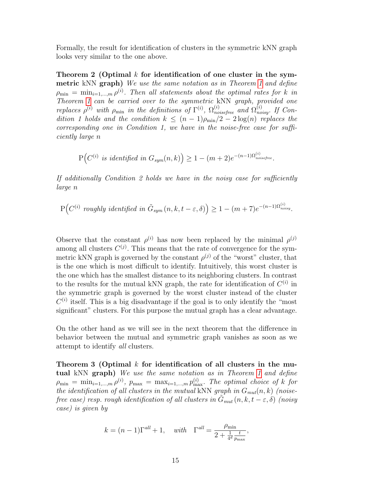<span id="page-14-0"></span>Formally, the result for identification of clusters in the symmetric kNN graph looks very similar to the one above.

Theorem 2 (Optimal  $k$  for identification of one cluster in the sym-metric kNN graph) We use the same notation as in Theorem [1](#page-12-0) and define  $\rho_{\min} = \min_{i=1,\dots,m} \rho^{(i)}$ . Then all statements about the optimal rates for k in Theorem [1](#page-12-0) can be carried over to the symmetric kNN graph, provided one replaces  $\rho^{(i)}$  with  $\rho_{\min}$  in the definitions of  $\Gamma^{(i)}$ ,  $\Omega_{noisefree}^{(i)}$  and  $\Omega_{noisey}^{(i)}$ . If Condition 1 holds and the condition  $k \leq (n-1)\rho_{\min}/2 - 2\log(n)$  replaces the corresponding one in Condition 1, we have in the noise-free case for sufficiently large n

$$
P\big(C^{(i)}\ \text{is identified in }G_{sym}(n,k)\big) \geq 1 - (m+2)e^{-(n-1)\Omega_{noisefree}^{(i)}}.
$$

If additionally Condition 2 holds we have in the noisy case for sufficiently large n

$$
P\big(C^{(i)}\text{ roughly identified in }\tilde{G}_{sym}(n,k,t-\varepsilon,\delta)\big) \ge 1-(m+7)e^{-(n-1)\Omega_{noisy}^{(i)}}.
$$

Observe that the constant  $\rho^{(i)}$  has now been replaced by the minimal  $\rho^{(j)}$ among all clusters  $C^{(j)}$ . This means that the rate of convergence for the symmetric kNN graph is governed by the constant  $\rho^{(j)}$  of the "worst" cluster, that is the one which is most difficult to identify. Intuitively, this worst cluster is the one which has the smallest distance to its neighboring clusters. In contrast to the results for the mutual kNN graph, the rate for identification of  $C^{(i)}$  in the symmetric graph is governed by the worst cluster instead of the cluster  $C^{(i)}$  itself. This is a big disadvantage if the goal is to only identify the "most" significant" clusters. For this purpose the mutual graph has a clear advantage.

On the other hand as we will see in the next theorem that the difference in behavior between the mutual and symmetric graph vanishes as soon as we attempt to identify all clusters.

<span id="page-14-1"></span>Theorem 3 (Optimal k for identification of all clusters in the mu-tual kNN graph) We use the same notation as in Theorem [1](#page-12-0) and define  $\rho_{\min} = \min_{i=1,\dots,m} \rho^{(i)}$ ,  $p_{\max} = \max_{i=1,\dots,m} p^{(i)}_{\max}$ . The optimal choice of k for the identification of all clusters in the mutual kNN graph in  $G_{mut}(n, k)$  (noisefree case) resp. rough identification of all clusters in  $G_{mut}(n, k, t - \varepsilon, \delta)$  (noisy case) is given by

$$
k = (n-1)\Gamma^{all} + 1
$$
, with  $\Gamma^{all} = \frac{\rho_{\min}}{2 + \frac{1}{4^d} \frac{t}{p_{\max}}}$ ,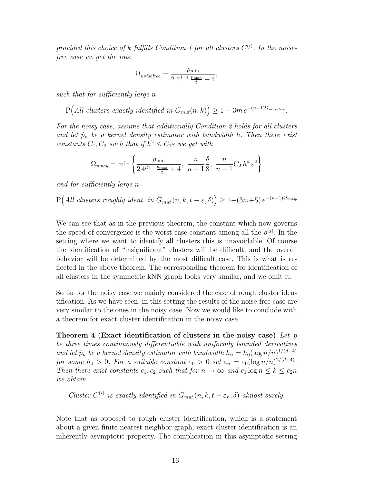provided this choice of k fulfills Condition 1 for all clusters  $C^{(i)}$ . In the noisefree case we get the rate

$$
\Omega_{noisefree} = \frac{\rho_{\min}}{2\,4^{d+1}\,\frac{p_{\max}}{t} + 4},
$$

such that for sufficiently large n

 $P\left(\text{All clusters exactly identified in } G_{mut}(n,k)\right) \geq 1-3m \, e^{-(n-1)\Omega_{noisefree}}.$ 

For the noisy case, assume that additionally Condition 2 holds for all clusters and let  $\hat{p}_n$  be a kernel density estimator with bandwidth h. Then there exist constants  $C_1, C_2$  such that if  $h^2 \leq C_1 \varepsilon$  we get with

$$
\Omega_{noisy} = \min \left\{ \frac{\rho_{\min}}{2 \, 4^{d+1} \, \frac{p_{\max}}{t} + 4}, \, \, \frac{n}{n-1} \frac{\delta}{8}, \, \frac{n}{n-1} C_2 \, h^d \, \varepsilon^2 \right\}
$$

and for sufficiently large n

 $P\left( All \; clusters \; roughly \; ident. \; in \; \tilde{G}_{mut}(n, k, t - \varepsilon, \delta) \right) \geq 1 - (3m + 5) e^{-(n-1)\Omega_{noisy}}.$ 

We can see that as in the previous theorem, the constant which now governs the speed of convergence is the worst case constant among all the  $\rho^{(j)}$ . In the setting where we want to identify all clusters this is unavoidable. Of course the identification of "insignificant" clusters will be difficult, and the overall behavior will be determined by the most difficult case. This is what is reflected in the above theorem. The corresponding theorem for identification of all clusters in the symmetric kNN graph looks very similar, and we omit it.

So far for the noisy case we mainly considered the case of rough cluster identification. As we have seen, in this setting the results of the noise-free case are very similar to the ones in the noisy case. Now we would like to conclude with a theorem for exact cluster identification in the noisy case.

<span id="page-15-0"></span>Theorem 4 (Exact identification of clusters in the noisy case) Let  $p$ be three times continuously differentiable with uniformly bounded derivatives and let  $\hat{p}_n$  be a kernel density estimator with bandwidth  $h_n = h_0(\log n/n)^{1/(d+4)}$ for some  $h_0 > 0$ . For a suitable constant  $\varepsilon_0 > 0$  set  $\varepsilon_n = \varepsilon_0 (\log n/n)^{2/(d+4)}$ . Then there exist constants  $c_1, c_2$  such that for  $n \to \infty$  and  $c_1 \log n \leq k \leq c_2 n$ we obtain

Cluster  $C^{(i)}$  is exactly identified in  $\tilde{G}_{mut}(n, k, t - \varepsilon_n, \delta)$  almost surely.

Note that as opposed to rough cluster identification, which is a statement about a given finite nearest neighbor graph, exact cluster identification is an inherently asymptotic property. The complication in this asymptotic setting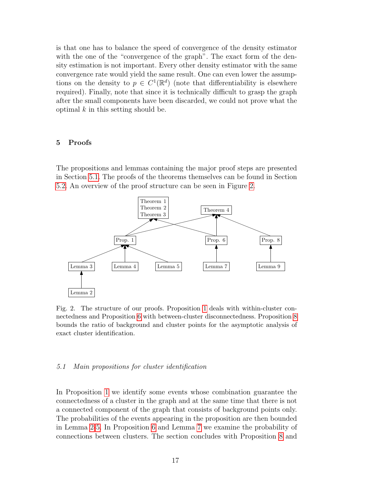is that one has to balance the speed of convergence of the density estimator with the one of the "convergence of the graph". The exact form of the density estimation is not important. Every other density estimator with the same convergence rate would yield the same result. One can even lower the assumptions on the density to  $p \in C^1(\mathbb{R}^d)$  (note that differentiability is elsewhere required). Finally, note that since it is technically difficult to grasp the graph after the small components have been discarded, we could not prove what the optimal  $k$  in this setting should be.

# 5 Proofs

The propositions and lemmas containing the major proof steps are presented in Section [5.1.](#page-16-0) The proofs of the theorems themselves can be found in Section [5.2.](#page-25-0) An overview of the proof structure can be seen in Figure [2.](#page-16-1)



<span id="page-16-1"></span>Fig. 2. The structure of our proofs. Proposition [1](#page-17-0) deals with within-cluster connectedness and Proposition [6](#page-22-0) with between-cluster disconnectedness. Proposition [8](#page-23-0) bounds the ratio of background and cluster points for the asymptotic analysis of exact cluster identification.

#### <span id="page-16-0"></span>5.1 Main propositions for cluster identification

In Proposition [1](#page-17-0) we identify some events whose combination guarantee the connectedness of a cluster in the graph and at the same time that there is not a connected component of the graph that consists of background points only. The probabilities of the events appearing in the proposition are then bounded in Lemma [2-](#page-18-0)[5.](#page-21-0) In Proposition [6](#page-22-0) and Lemma [7](#page-22-1) we examine the probability of connections between clusters. The section concludes with Proposition [8](#page-23-0) and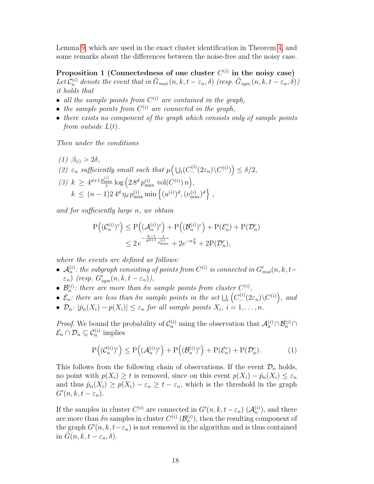Lemma [9,](#page-24-0) which are used in the exact cluster identification in Theorem [4,](#page-15-0) and some remarks about the differences between the noise-free and the noisy case.

<span id="page-17-0"></span>Proposition 1 (Connectedness of one cluster  $C^{(i)}$  in the noisy case) Let  $\tilde{\mathcal{C}}_{n}^{(i)}$  denote the event that in  $\tilde{G}_{mut}(n,k,t-\varepsilon_n,\delta)$  (resp.  $\tilde{G}_{sym}(n,k,t-\varepsilon_n,\delta))$ it holds that

- all the sample points from  $C^{(i)}$  are contained in the graph,
- the sample points from  $C^{(i)}$  are connected in the graph,
- there exists no component of the graph which consists only of sample points from outside  $L(t)$ .

Then under the conditions

(1)  $\beta_{(i)} > 2\delta$ , (2)  $\varepsilon_n$  sufficiently small such that  $\mu\left(\bigcup_i (C^{(i)}_-(2\varepsilon_n)\setminus C^{(i)})\right) \leq \delta/2$ , (3)  $k \geq 4^{d+1} \frac{p_{\text{max}}^{(i)}}{t} \log \left( 28^d p_{\text{max}}^{(i)} \text{ vol}(C^{(i)}) n \right),$  $k \leq (n-1)24^d \eta_d p_{\max}^{(i)} \min\left\{(u^{(i)})^d, (\nu_{\max}^{(i)})^d\right\},$ 

and for sufficiently large n, we obtain

$$
P((\mathcal{C}_n^{(i)})^c) \le P((\mathcal{A}_n^{(i)})^c) + P((\mathcal{B}_n^{(i)})^c) + P(\mathcal{E}_n^c) + P(\mathcal{D}_n^c)
$$
  

$$
\le 2 e^{-\frac{k-1}{4^{d+1}}\frac{t}{p_{\max}^{(i)}}} + 2e^{-n\frac{\delta}{8}} + 2P(\mathcal{D}_n^c),
$$

where the events are defined as follows:

- $\mathcal{A}_n^{(i)}$ : the subgraph consisting of points from  $C^{(i)}$  is connected in  $G'_{mut}(n, k, t-1)$  $\varepsilon_n$ ) (resp.  $G'_{sym}(n, k, t - \varepsilon_n)$ ),
- $\mathcal{B}_n^{(i)}$ : there are more than  $\delta n$  sample points from cluster  $C^{(i)}$ ,
- $\mathcal{E}_n$ : there are less than  $\delta n$  sample points in the set  $\bigcup_i \left( C^{(i)}_-(2\varepsilon_n) \setminus C^{(i)} \right)$ , and
- $\mathcal{D}_n: |\hat{p}_n(X_i) p(X_i)| \leq \varepsilon_n$  for all sample points  $X_i, i = 1, \ldots, n$ .

*Proof.* We bound the probability of  $\mathcal{C}_n^{(i)}$  using the observation that  $\mathcal{A}_n^{(i)} \cap \mathcal{B}_n^{(i)} \cap$  $\mathcal{E}_n \cap \mathcal{D}_n \subseteq \mathcal{C}_n^{(i)}$  implies

<span id="page-17-1"></span>
$$
P((\mathcal{C}_n^{(i)})^c) \le P((\mathcal{A}_n^{(i)})^c) + P((\mathcal{B}_n^{(i)})^c) + P(\mathcal{E}_n^c) + P(\mathcal{D}_n^c).
$$
 (1)

This follows from the following chain of observations. If the event  $\mathcal{D}_n$  holds, no point with  $p(X_i) \geq t$  is removed, since on this event  $p(X_i) - \hat{p}_n(X_i) \leq \varepsilon_n$ and thus  $\hat{p}_n(X_i) \geq p(X_i) - \varepsilon_n \geq t - \varepsilon_n$ , which is the threshold in the graph  $G'(n, k, t - \varepsilon_n).$ 

If the samples in cluster  $C^{(i)}$  are connected in  $G'(n, k, t - \varepsilon_n)$   $(\mathcal{A}_n^{(i)})$ , and there are more than  $\delta n$  samples in cluster  $C^{(i)}(\mathcal{B}_n^{(i)})$ , then the resulting component of the graph  $G'(n, k, t-\varepsilon_n)$  is not removed in the algorithm and is thus contained in  $G(n, k, t - \varepsilon_n, \delta)$ .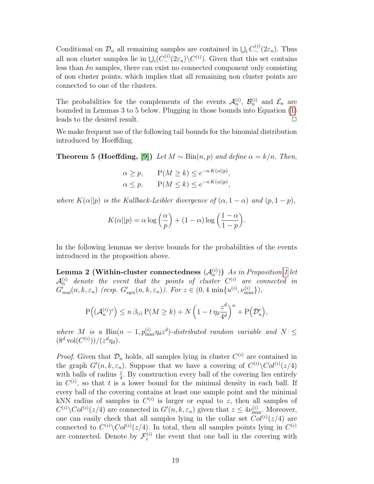Conditional on  $\mathcal{D}_n$  all remaining samples are contained in  $\bigcup_i C^{(i)}_-(2\varepsilon_n)$ . Thus all non cluster samples lie in  $\bigcup_i (C_{-}^{(i)}(2\varepsilon_n) \setminus C^{(i)})$ . Given that this set contains less than  $\delta n$  samples, there can exist no connected component only consisting of non cluster points, which implies that all remaining non cluster points are connected to one of the clusters.

The probabilities for the complements of the events  $\mathcal{A}_n^{(i)}$ ,  $\mathcal{B}_n^{(i)}$  and  $\mathcal{E}_n$  are bounded in Lemmas 3 to 5 below. Plugging in those bounds into Equation [\(1\)](#page-17-1) leads to the desired result.  $\Box$ 

We make frequent use of the following tail bounds for the binomial distribution introduced by Hoeffding.

**Theorem 5 (Hoeffding, [\[9\]](#page-29-9))** Let  $M \sim Bin(n, p)$  and define  $\alpha = k/n$ . Then,

<span id="page-18-1"></span>
$$
\alpha \ge p, \qquad P(M \ge k) \le e^{-n K(\alpha || p)},
$$
  
\n
$$
\alpha \le p, \qquad P(M \le k) \le e^{-n K(\alpha || p)},
$$

where  $K(\alpha||p)$  is the Kullback-Leibler divergence of  $(\alpha, 1 - \alpha)$  and  $(p, 1 - p)$ ,

$$
K(\alpha||p) = \alpha \log\left(\frac{\alpha}{p}\right) + (1-\alpha)\log\left(\frac{1-\alpha}{1-p}\right).
$$

In the following lemmas we derive bounds for the probabilities of the events introduced in the proposition above.

<span id="page-18-0"></span>Lemma 2 (Within-cluster connectedness  $(\mathcal{A}_n^{(i)})$ ) As in Proposition [1](#page-17-0) let  $\mathcal{A}_n^{(i)}$  denote the event that the points of cluster  $C^{(i)}$  are connected in  $G'_{mut}(n, k, \varepsilon_n)$  (resp.  $G'_{sym}(n, k, \varepsilon_n)$ ). For  $z \in (0, 4 \min\{u^{(i)}, \nu_{\max}^{(i)}\})$ ,

$$
\mathbf{P}\left((\mathcal{A}_n^{(i)})^c\right) \leq n \,\beta_{(i)}\,\mathbf{P}(M \geq k) + N\left(1 - t\,\eta_d \frac{z^d}{4^d}\right)^n + \mathbf{P}\left(\mathcal{D}_n^c\right),
$$

where M is a  $\text{Bin}(n-1, p_{\text{max}}^{(i)} \eta_d z^d)$ -distributed random variable and  $N \leq$  $(8^d \text{vol}(C^{(i)})) / (z^d \eta_d).$ 

*Proof.* Given that  $\mathcal{D}_n$  holds, all samples lying in cluster  $C^{(i)}$  are contained in the graph  $G'(n, k, \varepsilon_n)$ . Suppose that we have a covering of  $C^{(i)}\backslash Col^{(i)}(z/4)$ with balls of radius  $\frac{z}{4}$ . By construction every ball of the covering lies entirely in  $C^{(i)}$ , so that t is a lower bound for the minimal density in each ball. If every ball of the covering contains at least one sample point and the minimal kNN radius of samples in  $C^{(i)}$  is larger or equal to z, then all samples of  $C^{(i)}\backslash Col^{(i)}(z/4)$  are connected in  $G'(n, k, \varepsilon_n)$  given that  $z \leq 4\nu_{\max}^{(i)}$ . Moreover, one can easily check that all samples lying in the collar set  $Col^{(i)}(z/4)$  are connected to  $C^{(i)}\backslash Col^{(i)}(z/4)$ . In total, then all samples points lying in  $C^{(i)}$ are connected. Denote by  $\mathcal{F}_z^{(i)}$  the event that one ball in the covering with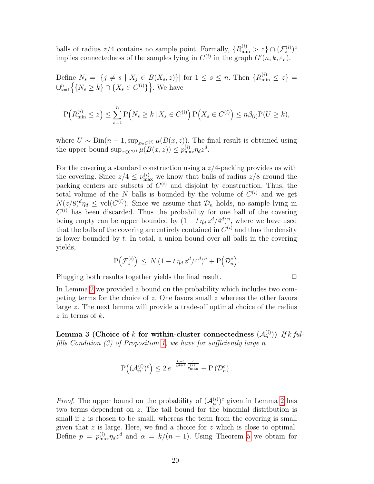balls of radius  $z/4$  contains no sample point. Formally,  $\{R_{\min}^{(i)} > z\} \cap (\mathcal{F}_z^{(i)})^c$ implies connectedness of the samples lying in  $C^{(i)}$  in the graph  $G'(n, k, \varepsilon_n)$ .

Define  $N_s = |\{j \neq s \mid X_j \in B(X_s, z)\}|$  for  $1 \leq s \leq n$ . Then  $\{R_{\min}^{(i)} \leq z\}$  $\bigcup_{s=1}^n \Big\{ \{N_s \geq k\} \cap \{X_s \in C^{(i)}\} \Big\}$ . We have

$$
P(R_{\min}^{(i)} \le z) \le \sum_{s=1}^{n} P(N_s \ge k \mid X_s \in C^{(i)}) P(X_s \in C^{(i)}) \le n\beta_{(i)}P(U \ge k),
$$

where  $U \sim Bin(n-1, \sup_{x \in C^{(i)}} \mu(B(x, z))$ . The final result is obtained using the upper bound  $\sup_{x \in C^{(i)}} \mu(B(x, z)) \leq p_{\max}^{(i)} \eta_d z^d$ .

For the covering a standard construction using a  $z/4$ -packing provides us with the covering. Since  $z/4 \leq \nu_{\text{max}}^{(i)}$  we know that balls of radius  $z/8$  around the packing centers are subsets of  $C^{(i)}$  and disjoint by construction. Thus, the total volume of the N balls is bounded by the volume of  $C^{(i)}$  and we get  $N(z/8)^d \eta_d \leq \text{vol}(C^{(i)})$ . Since we assume that  $\mathcal{D}_n$  holds, no sample lying in  $C^{(i)}$  has been discarded. Thus the probability for one ball of the covering being empty can be upper bounded by  $(1 - t \eta_d z^d/4^d)^n$ , where we have used that the balls of the covering are entirely contained in  $C^{(i)}$  and thus the density is lower bounded by  $t$ . In total, a union bound over all balls in the covering yields,

$$
\mathbf{P}\left(\mathcal{F}_z^{(i)}\right) \leq N\left(1 - t\eta_d\,z^d/4^d\right)^n + \mathbf{P}\left(\mathcal{D}_n^c\right).
$$

Plugging both results together yields the final result.  $\Box$ 

In Lemma [2](#page-18-0) we provided a bound on the probability which includes two competing terms for the choice of z. One favors small z whereas the other favors large z. The next lemma will provide a trade-off optimal choice of the radius  $z$  in terms of  $k$ .

 ${\rm Lemma~3~(Choice~of~\it k~for~within-cluster~connectedness~}(\mathcal{A}_n^{(i)}))} \;\; If \it k~full\text{-}$ fills Condition (3) of Proposition [1,](#page-17-0) we have for sufficiently large n

$$
\mathrm{P}\left((\mathcal{A}_n^{(i)})^c\right) \leq 2\,e^{-\frac{k-1}{4^{d+1}}\frac{t}{p_{\text{max}}^{(i)}}} + \mathrm{P}\left(\mathcal{D}_n^c\right).
$$

*Proof.* The upper bound on the probability of  $(\mathcal{A}_n^{(i)})^c$  given in Lemma [2](#page-18-0) has two terms dependent on z. The tail bound for the binomial distribution is small if  $z$  is chosen to be small, whereas the term from the covering is small given that  $z$  is large. Here, we find a choice for  $z$  which is close to optimal. Define  $p = p_{\text{max}}^{(i)} \eta_d z^d$  and  $\alpha = k/(n-1)$ . Using Theorem [5](#page-18-1) we obtain for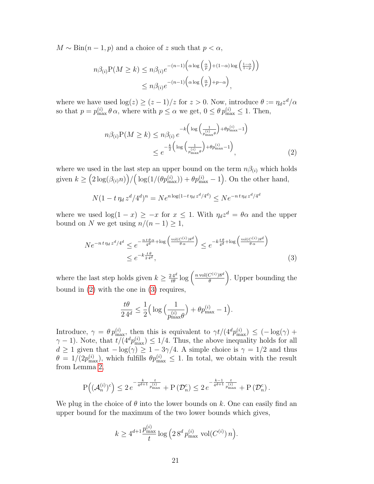$M \sim Bin(n-1, p)$  and a choice of z such that  $p < \alpha$ ,

$$
n\beta_{(i)}\mathcal{P}(M \ge k) \le n\beta_{(i)}e^{-(n-1)\left(\alpha\log\left(\frac{\alpha}{p}\right) + (1-\alpha)\log\left(\frac{1-\alpha}{1-p}\right)\right)}} \le n\beta_{(i)}e^{-(n-1)\left(\alpha\log\left(\frac{\alpha}{p}\right) + p - \alpha\right)},
$$

where we have used  $\log(z) \ge (z-1)/z$  for  $z > 0$ . Now, introduce  $\theta := \eta_d z^d/\alpha$ so that  $p = p_{\text{max}}^{(i)} \theta \alpha$ , where with  $p \leq \alpha$  we get,  $0 \leq \theta p_{\text{max}}^{(i)} \leq 1$ . Then,

<span id="page-20-0"></span>
$$
n\beta_{(i)}\mathcal{P}(M \ge k) \le n\beta_{(i)} e^{-k\left(\log\left(\frac{1}{p_{\max}^{(i)}}\right) + \theta p_{\max}^{(i)} - 1\right)}
$$

$$
\le e^{-\frac{k}{2}\left(\log\left(\frac{1}{p_{\max}^{(i)}}\right) + \theta p_{\max}^{(i)} - 1\right)},
$$
(2)

where we used in the last step an upper bound on the term  $n\beta_{(i)}$  which holds given  $k \geq (2\log(\beta_{(i)}n)) / ((\log(1/(\theta p_{\max}^{(i)})) + \theta p_{\max}^{(i)} - 1))$ . On the other hand,

$$
N(1 - t \eta_d z^d / 4^d)^n = N e^{n \log(1 - t \eta_d z^d / 4^d)} \le N e^{-n \ln \eta_d z^d / 4^d}
$$

where we used  $\log(1-x) \geq -x$  for  $x \leq 1$ . With  $\eta_d z^d = \theta \alpha$  and the upper bound on N we get using  $n/(n-1) \geq 1$ ,

$$
Ne^{-nt\eta_d z^d/4^d} \le e^{-\frac{nt\theta\alpha}{4^d} + \log\left(\frac{\text{vol}(C^{(i)})s^d}{\theta\alpha}\right)} \le e^{-k\frac{t\theta}{4^d} + \log\left(\frac{\text{vol}(C^{(i)})s^d}{\theta\alpha}\right)}
$$
  

$$
\le e^{-k\frac{t\theta}{24^d}},
$$
 (3)

where the last step holds given  $k \geq \frac{24^d}{t\theta} \log \left( \frac{n \text{ vol}(C^{(i)}) 8^d}{\theta} \right)$ θ . Upper bounding the bound in [\(2\)](#page-20-0) with the one in [\(3\)](#page-20-1) requires,

<span id="page-20-1"></span>
$$
\frac{t\theta}{2\,4^d} \leq \frac{1}{2}\Big(\log\Big(\frac{1}{p_{\max}^{(i)}}\theta\Big) + \theta p_{\max}^{(i)} - 1\Big).
$$

Introduce,  $\gamma = \theta p_{\text{max}}^{(i)}$ , then this is equivalent to  $\gamma t/(4^d p_{\text{max}}^{(i)}) \leq (-\log(\gamma) +$  $\gamma - 1$ ). Note, that  $t/(4^d p_{\text{max}}^{(i)}) \leq 1/4$ . Thus, the above inequality holds for all  $d \geq 1$  given that  $-\log(\gamma) \geq 1-3\gamma/4$ . A simple choice is  $\gamma = 1/2$  and thus  $\theta = 1/(2p_{\text{max}}^{(i)})$ , which fulfills  $\theta p_{\text{max}}^{(i)} \leq 1$ . In total, we obtain with the result from Lemma [2,](#page-18-0)

$$
\mathbf{P}\left((\mathcal{A}_n^{(i)})^c\right) \leq 2\,e^{-\frac{k}{4^{d+1}}\frac{t}{p_{\max}^{(i)}}} + \mathbf{P}\left(\mathcal{D}_n^c\right) \leq 2\,e^{-\frac{k-1}{4^{d+1}}\frac{t}{p_{\max}^{(i)}}} + \mathbf{P}\left(\mathcal{D}_n^c\right).
$$

We plug in the choice of  $\theta$  into the lower bounds on k. One can easily find an upper bound for the maximum of the two lower bounds which gives,

$$
k \ge 4^{d+1} \frac{p_{\text{max}}^{(i)}}{t} \log \left( 2 \, 8^d \, p_{\text{max}}^{(i)} \, \text{vol}(C^{(i)}) \, n \right).
$$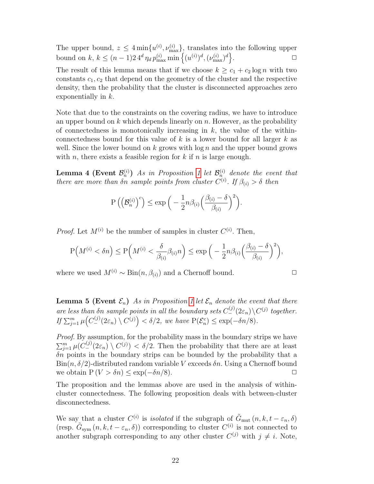The upper bound,  $z \leq 4 \min\{u^{(i)}, \nu_{\text{max}}^{(i)}\}$ , translates into the following upper bound on k,  $k \leq (n-1)24^d \eta_d p_{\max}^{(i)} \min\left\{(u^{(i)})^d, (\nu_{\max}^{(i)})^d\right\}$ .  $\Box$ 

The result of this lemma means that if we choose  $k \geq c_1 + c_2 \log n$  with two constants  $c_1, c_2$  that depend on the geometry of the cluster and the respective density, then the probability that the cluster is disconnected approaches zero exponentially in k.

Note that due to the constraints on the covering radius, we have to introduce an upper bound on  $k$  which depends linearly on  $n$ . However, as the probability of connectedness is monotonically increasing in  $k$ , the value of the withinconnectedness bound for this value of k is a lower bound for all larger k as well. Since the lower bound on k grows with  $\log n$  and the upper bound grows with n, there exists a feasible region for  $k$  if n is large enough.

**Lemma 4 (Event**  $\mathcal{B}_n^{(i)}$ ) As in Proposition [1](#page-17-0) let  $\mathcal{B}_n^{(i)}$  denote the event that there are more than  $\delta n$  sample points from cluster  $C^{(i)}$ . If  $\beta_{(i)} > \delta$  then

$$
P\left(\left(\mathcal{B}_n^{(i)}\right)^c\right) \le \exp\bigg(-\frac{1}{2}n\beta_{(i)}\bigg(\frac{\beta_{(i)}-\delta}{\beta_{(i)}}\bigg)^2\bigg).
$$

*Proof.* Let  $M^{(i)}$  be the number of samples in cluster  $C^{(i)}$ . Then,

$$
P\left(M^{(i)} < \delta n\right) \le P\left(M^{(i)} < \frac{\delta}{\beta_{(i)}}\beta_{(i)}n\right) \le \exp\left(-\frac{1}{2}n\beta_{(i)}\left(\frac{\beta_{(i)} - \delta}{\beta_{(i)}}\right)^2\right),
$$

where we used  $M^{(i)} \sim Bin(n, \beta_{(i)})$  and a Chernoff bound.  $□$ 

<span id="page-21-0"></span>**Lemma 5 (Event**  $\mathcal{E}_n$ ) As in Proposition [1](#page-17-0) let  $\mathcal{E}_n$  denote the event that there are less than  $\delta n$  sample points in all the boundary sets  $C_{-}^{(j)}(2\varepsilon_n)\setminus C^{(j)}$  together. If  $\sum_{j=1}^m \mu(C^{(j)}_-(2\varepsilon_n) \setminus C^{(j)}) < \delta/2$ , we have  $P(\mathcal{E}_n^c) \leq \exp(-\delta n/8)$ .

Proof. By assumption, for the probability mass in the boundary strips we have  $\sum_{j=1}^m \mu(C^{(j)}_-(2\varepsilon_n) \setminus C^{(j)}) < \delta/2$ . Then the probability that there are at least  $\delta n$  points in the boundary strips can be bounded by the probability that a  $\text{Bin}(n, \delta/2)$ -distributed random variable V exceeds  $\delta n$ . Using a Chernoff bound we obtain  $P(V > \delta n) \leq \exp(-\delta n/8)$ .

The proposition and the lemmas above are used in the analysis of withincluster connectedness. The following proposition deals with between-cluster disconnectedness.

We say that a cluster  $C^{(i)}$  is *isolated* if the subgraph of  $\tilde{G}_{\text{mut}}(n, k, t - \varepsilon_n, \delta)$ (resp.  $\tilde{G}_{sym}(n, k, t - \varepsilon_n, \delta)$ ) corresponding to cluster  $C^{(i)}$  is not connected to another subgraph corresponding to any other cluster  $C^{(j)}$  with  $j \neq i$ . Note,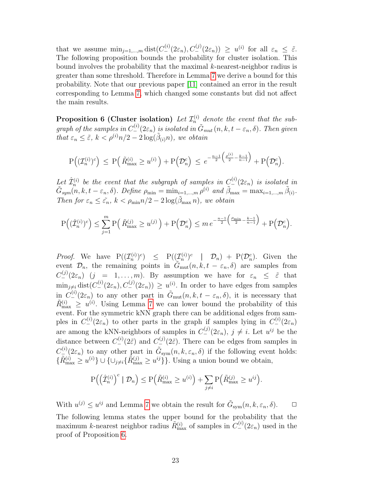that we assume  $\min_{j=1,\dots,m} \text{dist}(C^{(i)}_-(2\varepsilon_n), C^{(j)}_-(2\varepsilon_n)) \geq u^{(i)}$  for all  $\varepsilon_n \leq \tilde{\varepsilon}$ . The following proposition bounds the probability for cluster isolation. This bound involves the probability that the maximal k-nearest-neighbor radius is greater than some threshold. Therefore in Lemma [7](#page-22-1) we derive a bound for this probability. Note that our previous paper [\[11\]](#page-29-7) contained an error in the result corresponding to Lemma [7,](#page-22-1) which changed some constants but did not affect the main results.

<span id="page-22-0"></span>**Proposition 6 (Cluster isolation)** Let  $\mathcal{I}_n^{(i)}$  denote the event that the subgraph of the samples in  $C_{-}^{(i)}(2\varepsilon_n)$  is isolated in  $\tilde{G}_{mut}(n, k, t - \varepsilon_n, \delta)$ . Then given that  $\varepsilon_n \leq \tilde{\varepsilon}$ ,  $k < \rho^{(i)}n/2 - 2\log(\tilde{\beta}_{(i)}n)$ , we obtain

$$
\mathbf{P}\left((\mathcal{I}_n^{(i)})^c\right) \leq \mathbf{P}\left(\tilde{R}_{\max}^{(i)} \geq u^{(i)}\right) + \mathbf{P}\left(\mathcal{D}_n^c\right) \leq e^{-\frac{n-1}{2}\left(\frac{\rho^{(i)}}{2} - \frac{k-1}{n-1}\right)} + \mathbf{P}\left(\mathcal{D}_n^c\right).
$$

Let  $\hat{\mathcal{I}}_n^{(i)}$  be the event that the subgraph of samples in  $C_{-}^{(i)}(2\varepsilon_n)$  is isolated in  $\tilde{G}_{sym}(n, k, t - \varepsilon_n, \delta)$ . Define  $\rho_{\min} = \min_{i=1,\dots,m} \rho^{(i)}$  and  $\tilde{\beta}_{\max} = \max_{i=1,\dots,m} \tilde{\beta}_{(i)}$ . Then for  $\varepsilon_n \leq \tilde{\varepsilon}_n$ ,  $k < \rho_{\min} n/2 - 2 \log(\tilde{\beta}_{\max} n)$ , we obtain

$$
\mathbf{P}\left((\hat{\mathcal{I}}_n^{(i)})^c\right) \leq \sum_{j=1}^m \mathbf{P}\left(\tilde{R}_{\max}^{(j)} \geq u^{(j)}\right) + \mathbf{P}\left(\mathcal{D}_n^c\right) \leq m \, e^{-\frac{n-1}{2}\left(\frac{\rho_{\min}}{2} - \frac{k-1}{n-1}\right)} + \mathbf{P}\left(\mathcal{D}_n^c\right).
$$

*Proof.* We have  $P((\mathcal{I}_n^{(i)})^c) \leq P((\mathcal{I}_n^{(i)})^c | \mathcal{D}_n) + P(\mathcal{D}_n^c)$ . Given the event  $\mathcal{D}_n$ , the remaining points in  $\tilde{G}_{\text{mut}}(n, k, t - \varepsilon_n, \delta)$  are samples from  $C_{-}^{(j)}(2\varepsilon_n)$  (j = 1,...,m). By assumption we have for  $\varepsilon_n \leq \tilde{\varepsilon}$  that  $\min_{j\neq i} \text{dist}(C_{-}^{(i)}(2\varepsilon_n), C_{-}^{(j)}(2\varepsilon_n)) \geq u^{(i)}$ . In order to have edges from samples in  $C_{-}^{(i)}(2\varepsilon_n)$  to any other part in  $\tilde{G}_{\text{mut}}(n, k, t - \varepsilon_n, \delta)$ , it is necessary that  $\tilde{R}^{(i)}_{\max} \geq u^{(i)}$ . Using Lemma [7](#page-22-1) we can lower bound the probability of this event. For the symmetric kNN graph there can be additional edges from samples in  $C_{-}^{(i)}(2\varepsilon_n)$  to other parts in the graph if samples lying in  $C_{-}^{(i)}(2\varepsilon_n)$ are among the kNN-neighbors of samples in  $C_{-}^{(j)}(2\varepsilon_n)$ ,  $j \neq i$ . Let  $u^{ij}$  be the distance between  $C_{-}^{(i)}(2\tilde{\varepsilon})$  and  $C_{-}^{(j)}(2\tilde{\varepsilon})$ . There can be edges from samples in  $C_{-}^{(i)}(2\varepsilon_n)$  to any other part in  $\tilde{G}_{sym}(n,k,\varepsilon_n,\delta)$  if the following event holds:  $\{\tilde{R}_{\max}^{(i)} \geq u^{(i)}\} \cup \{\cup_{j \neq i} \{\tilde{R}_{\max}^{(j)} \geq u^{ij}\}\}\.$  Using a union bound we obtain,

<span id="page-22-1"></span>
$$
\mathbf{P}\left(\left(\hat{\mathcal{I}}_n^{(i)}\right)^c \mid \mathcal{D}_n\right) \le \mathbf{P}\left(\tilde{R}_{\max}^{(i)} \ge u^{(i)}\right) + \sum_{j \ne i} \mathbf{P}\left(\tilde{R}_{\max}^{(j)} \ge u^{ij}\right).
$$

With  $u^{(j)} \le u^{ij}$  and Lemma [7](#page-22-1) we obtain the result for  $\tilde{G}_{sym}(n, k, \varepsilon_n, \delta)$ .  $\Box$ 

The following lemma states the upper bound for the probability that the maximum k-nearest neighbor radius  $\tilde{R}_{\max}^{(i)}$  of samples in  $C_{-}^{(i)}(2\varepsilon_n)$  used in the proof of Proposition [6.](#page-22-0)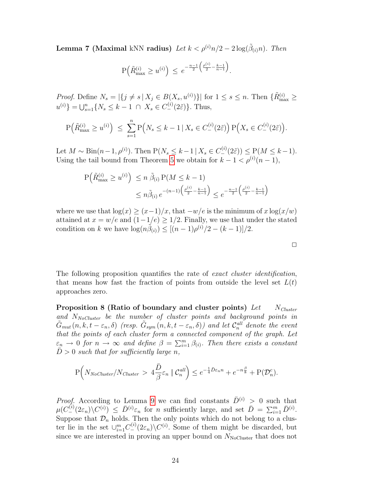Lemma 7 (Maximal kNN radius)  $\text{Let } k < \rho^{(i)} n/2 - 2 \log (\tilde{\beta}_{(i)} n).$  Then

$$
\mathbf{P}\left(\tilde{R}_{\max}^{(i)} \ge u^{(i)}\right) \le e^{-\frac{n-1}{2}\left(\frac{\rho^{(i)}}{2} - \frac{k-1}{n-1}\right)}.
$$

*Proof.* Define  $N_s = |\{j \neq s \mid X_j \in B(X_s, u^{(i)})\}|$  for  $1 \leq s \leq n$ . Then  $\{\tilde{R}_{\max}^{(i)} \geq 0\}$  $u^{(i)}$ } =  $\bigcup_{s=1}^{n} \{N_s \leq k-1 \cap X_s \in C_{-}^{(i)}(2\tilde{\varepsilon})\}$ . Thus,

$$
\mathbf{P}\left(\tilde{R}_{\max}^{(i)} \ge u^{(i)}\right) \le \sum_{s=1}^n \mathbf{P}\left(N_s \le k-1 \,|\, X_s \in C_{-}^{(i)}(2\tilde{\varepsilon})\right) \mathbf{P}\left(X_s \in C_{-}^{(i)}(2\tilde{\varepsilon})\right).
$$

Let  $M \sim Bin(n-1, \rho^{(i)})$ . Then  $P(N_s \leq k-1 \mid X_s \in C_{-}^{(i)}(2\tilde{\varepsilon})) \leq P(M \leq k-1)$ . Using the tail bound from Theorem [5](#page-18-1) we obtain for  $k - 1 < \rho^{(i)}(n-1)$ ,

$$
P(\tilde{R}_{\max}^{(i)} \ge u^{(i)}) \le n \tilde{\beta}_{(i)} P(M \le k - 1)
$$
  
 
$$
\le n \tilde{\beta}_{(i)} e^{-(n-1)\left(\frac{\rho^{(i)}}{2} - \frac{k-1}{n-1}\right)} \le e^{-\frac{n-1}{2}\left(\frac{\rho^{(i)}}{2} - \frac{k-1}{n-1}\right)}
$$

where we use that  $\log(x) \ge (x-1)/x$ , that  $-w/e$  is the minimum of  $x \log(x/w)$ attained at  $x = w/e$  and  $(1-1/e) \ge 1/2$ . Finally, we use that under the stated condition on k we have  $\log(n\tilde{\beta}_{(i)}) \leq [(n-1)\rho^{(i)}/2 - (k-1)]/2$ .

<span id="page-23-0"></span>The following proposition quantifies the rate of exact cluster identification, that means how fast the fraction of points from outside the level set  $L(t)$ approaches zero.

Proposition 8 (Ratio of boundary and cluster points)  $Let$   $N_{Cluster}$ and  $N_{NoCluster}$  be the number of cluster points and background points in  $\tilde{G}_{mut}(n, k, t - \varepsilon_n, \delta)$  (resp.  $\tilde{G}_{sym}(n, k, t - \varepsilon_n, \delta)$ ) and let  $\mathcal{C}_n^{all}$  denote the event that the points of each cluster form a connected component of the graph. Let  $\varepsilon_n \to 0$  for  $n \to \infty$  and define  $\beta = \sum_{i=1}^m \beta_{(i)}$ . Then there exists a constant  $D > 0$  such that for sufficiently large n,

$$
P(N_{NoCluster}/N_{Cluster} > 4\frac{\bar{D}}{\beta}\varepsilon_n \mid C_n^{all}) \leq e^{-\frac{1}{4}\bar{D}\varepsilon_n n} + e^{-n\frac{\beta}{8}} + P(\mathcal{D}_n^c).
$$

*Proof.* According to Lemma [9](#page-24-0) we can find constants  $\bar{D}^{(i)} > 0$  such that  $\mu(C_{-}^{(i)}(2\varepsilon_n)\setminus C^{(i)}) \leq \bar{D}^{(i)}\varepsilon_n$  for *n* sufficiently large, and set  $\bar{D} = \sum_{i=1}^m \bar{D}^{(i)}$ . Suppose that  $\mathcal{D}_n$  holds. Then the only points which do not belong to a cluster lie in the set  $\cup_{i=1}^{m} C^{(i)}_{-}(2\varepsilon_n) \setminus C^{(i)}$ . Some of them might be discarded, but since we are interested in proving an upper bound on  $N_{\text{NoCluster}}$  that does not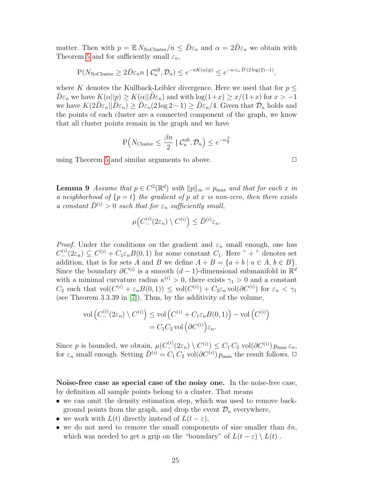matter. Then with  $p = \mathbb{E} N_{\text{NoCluster}}/n \leq \overline{D} \varepsilon_n$  and  $\alpha = 2\overline{D} \varepsilon_n$  we obtain with Theorem [5](#page-18-1) and for sufficiently small  $\varepsilon_n$ ,

$$
P(N_{\text{NoCluster}} \ge 2\bar{D}\varepsilon_n n \mid \mathcal{C}_n^{\text{all}}, \mathcal{D}_n) \le e^{-nK(\alpha||p)} \le e^{-n\varepsilon_n \bar{D}(2\log(2)-1)},
$$

where K denotes the Kullback-Leibler divergence. Here we used that for  $p \leq$  $\bar{D}\varepsilon_n$  we have  $K(\alpha||p) \geq K(\alpha||\bar{D}\varepsilon_n)$  and with  $\log(1+x) \geq x/(1+x)$  for  $x > -1$ we have  $K(2\bar{D}\varepsilon_n||\bar{D}\varepsilon_n) \geq \bar{D}\varepsilon_n(2\log 2 - 1) \geq \bar{D}\varepsilon_n/4$ . Given that  $\mathcal{D}_n$  holds and the points of each cluster are a connected component of the graph, we know that all cluster points remain in the graph and we have

$$
P(N_{\text{Cluster}} \le \frac{\beta n}{2} \mid \mathcal{C}_n^{\text{all}}, \mathcal{D}_n) \le e^{-n\frac{\beta}{8}}
$$

using Theorem [5](#page-18-1) and similar arguments to above.  $\Box$ 

<span id="page-24-0"></span>**Lemma 9** Assume that  $p \in C^2(\mathbb{R}^d)$  with  $||p||_{\infty} = p_{\text{max}}$  and that for each x in a neighborhood of  $\{p = t\}$  the gradient of p at x is non-zero, then there exists a constant  $\bar{D}^{(i)} > 0$  such that for  $\varepsilon_n$  sufficiently small,

$$
\mu\Big(C^{(i)}_{-}(2\varepsilon_n)\setminus C^{(i)}\Big) \leq \bar{D}^{(i)}\varepsilon_n.
$$

*Proof.* Under the conditions on the gradient and  $\varepsilon_n$  small enough, one has  $C_{-}^{(i)}(2\varepsilon_n) \subseteq C^{(i)} + C_1 \varepsilon_n B(0,1)$  for some constant  $C_1$ . Here " + " denotes set addition, that is for sets A and B we define  $A + B = \{a + b \mid a \in A, b \in B\}.$ Since the boundary  $\partial C^{(i)}$  is a smooth  $(d-1)$ -dimensional submanifold in  $\mathbb{R}^d$ with a minimal curvature radius  $\kappa^{(i)} > 0$ , there exists  $\gamma_1 > 0$  and a constant  $C_2$  such that  $\text{vol}(C^{(i)} + \varepsilon_n B(0, 1)) \leq \text{vol}(C^{(i)}) + C_2 \varepsilon_n \text{vol}(\partial C^{(i)})$  for  $\varepsilon_n < \gamma_1$ (see Theorem 3.3.39 in [\[7\]](#page-29-10)). Thus, by the additivity of the volume,

$$
\text{vol}\left(C_{-}^{(i)}(2\varepsilon_{n})\setminus C^{(i)}\right) \leq \text{vol}\left(C^{(i)} + C_{1}\varepsilon_{n}B(0,1)\right) - \text{vol}\left(C^{(i)}\right)
$$

$$
= C_{1}C_{2} \text{ vol}\left(\partial C^{(i)}\right)\varepsilon_{n}.
$$

Since p is bounded, we obtain,  $\mu(C_{-}^{(i)}(2\varepsilon_n) \setminus C^{(i)}) \leq C_1 C_2$  vol $(\partial C^{(i)}) p_{\max} \varepsilon_n$ , for  $\varepsilon_n$  small enough. Setting  $\overline{D}^{(i)} = C_1 C_2$  vol $(\partial C^{(i)}) p_{\text{max}}$  the result follows.  $\Box$ 

Noise-free case as special case of the noisy one. In the noise-free case, by definition all sample points belong to a cluster. That means

- we can omit the density estimation step, which was used to remove background points from the graph, and drop the event  $\mathcal{D}_n$  everywhere,
- we work with  $L(t)$  directly instead of  $L(t \varepsilon)$ ,
- we do not need to remove the small components of size smaller than  $\delta n$ , which was needed to get a grip on the "boundary" of  $L(t - \varepsilon) \setminus L(t)$ .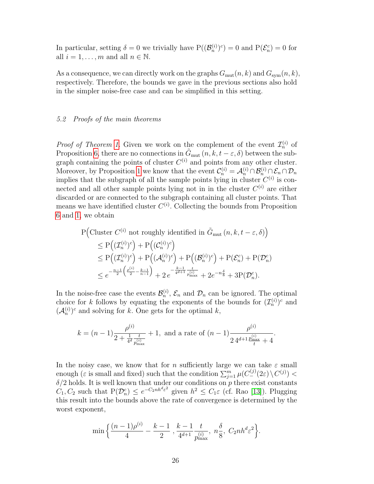In particular, setting  $\delta = 0$  we trivially have  $P((\mathcal{B}_n^{(i)})^c) = 0$  and  $P(\mathcal{E}_n^c) = 0$  for all  $i = 1, \ldots, m$  and all  $n \in \mathbb{N}$ .

As a consequence, we can directly work on the graphs  $G_{\text{mut}}(n, k)$  and  $G_{\text{sym}}(n, k)$ , respectively. Therefore, the bounds we gave in the previous sections also hold in the simpler noise-free case and can be simplified in this setting.

# <span id="page-25-0"></span>5.2 Proofs of the main theorems

*Proof of Theorem [1.](#page-12-0)* Given we work on the complement of the event  $\mathcal{I}_n^{(i)}$  of Proposition [6,](#page-22-0) there are no connections in  $\tilde{G}_{\text{mut}}(n, k, t - \varepsilon, \delta)$  between the subgraph containing the points of cluster  $C^{(i)}$  and points from any other cluster. Moreover, by Proposition [1](#page-17-0) we know that the event  $\mathcal{C}_n^{(i)} = \mathcal{A}_n^{(i)} \cap \mathcal{B}_n^{(i)} \cap \mathcal{E}_n \cap \mathcal{D}_n$ implies that the subgraph of all the sample points lying in cluster  $C^{(i)}$  is connected and all other sample points lying not in in the cluster  $C^{(i)}$  are either discarded or are connected to the subgraph containing all cluster points. That means we have identified cluster  $C^{(i)}$ . Collecting the bounds from Proposition [6](#page-22-0) and [1,](#page-17-0) we obtain

$$
P\left(\text{Cluster } C^{(i)} \text{ not roughly identified in } \tilde{G}_{\text{mut}}\left(n, k, t - \varepsilon, \delta\right)\right) \leq P\left((\mathcal{I}_n^{(i)})^c\right) + P\left((\mathcal{C}_n^{(i)})^c\right) \leq P\left((\mathcal{I}_n^{(i)})^c\right) + P\left((\mathcal{A}_n^{(i)})^c\right) + P\left((\mathcal{B}_n^{(i)})^c\right) + P(\mathcal{E}_n^c) + P(\mathcal{D}_n^c) \leq e^{-\frac{n-1}{2}\left(\frac{\rho^{(i)}}{2} - \frac{k-1}{n-1}\right)} + 2e^{-\frac{k-1}{4d+1}\frac{t}{p_{\text{max}}}} + 2e^{-n\frac{\delta}{8}} + 3P(\mathcal{D}_n^c).
$$

In the noise-free case the events  $\mathcal{B}_n^{(i)}$ ,  $\mathcal{E}_n$  and  $\mathcal{D}_n$  can be ignored. The optimal choice for k follows by equating the exponents of the bounds for  $(\mathcal{I}_n^{(i)})^c$  and  $(\mathcal{A}_n^{(i)})^c$  and solving for k. One gets for the optimal k,

$$
k = (n-1)\frac{\rho^{(i)}}{2 + \frac{1}{4^d} \frac{t}{p_{\text{max}}^{(i)}}} + 1
$$
, and a rate of  $(n-1)\frac{\rho^{(i)}}{24^{d+1} \frac{p_{\text{max}}^{(i)}}{t} + 4}$ .

In the noisy case, we know that for n sufficiently large we can take  $\varepsilon$  small enough ( $\varepsilon$  is small and fixed) such that the condition  $\sum_{j=1}^{m} \mu(C_{-}^{(j)}(2\varepsilon) \setminus C^{(j)})$  $\delta/2$  holds. It is well known that under our conditions on p there exist constants  $C_1, C_2$  such that  $P(\mathcal{D}_n^c) \leq e^{-C_2nh^d\epsilon^2}$  given  $h^2 \leq C_1\varepsilon$  (cf. Rao [\[13\]](#page-30-2)). Plugging this result into the bounds above the rate of convergence is determined by the worst exponent,

$$
\min\Big\{\frac{(n-1)\rho^{(i)}}{4}-\frac{k-1}{2}\,\,\frac{k-1}{4^{d+1}}\,\frac{t}{p_{\max}^{(i)}}\,\,\frac{\delta}{n_8^2},\,\,C_2nh^d\varepsilon^2\Big\}.
$$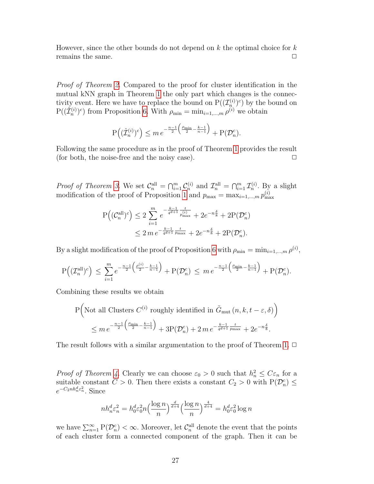However, since the other bounds do not depend on  $k$  the optimal choice for  $k$ remains the same.  $\Box$ 

Proof of Theorem [2.](#page-14-0) Compared to the proof for cluster identification in the mutual kNN graph in Theorem [1](#page-12-0) the only part which changes is the connectivity event. Here we have to replace the bound on  $P((\mathcal{I}_n^{(i)})^c)$  by the bound on  $P((\hat{\mathcal{I}}_n^{(i)})^c)$  from Proposition [6.](#page-22-0) With  $\rho_{\min} = \min_{i=1,\dots,m} \rho^{(i)}$  we obtain

$$
\mathbf{P}\left((\hat{\mathcal{I}}_n^{(i)})^c\right) \le m \, e^{-\frac{n-1}{2}\left(\frac{\rho_{\min}}{2} - \frac{k-1}{n-1}\right)} + \mathbf{P}(\mathcal{D}_n^c).
$$

Following the same procedure as in the proof of Theorem [1](#page-12-0) provides the result (for both, the noise-free and the noisy case).  $\Box$ 

*Proof of Theorem [3.](#page-14-1)* We set  $\mathcal{C}_n^{\text{all}} = \bigcap_{i=1}^m \mathcal{C}_n^{(i)}$  and  $\mathcal{I}_n^{\text{all}} = \bigcap_{i=1}^m \mathcal{I}_n^{(i)}$ . By a slight modification of the proof of Proposition [1](#page-17-0) and  $p_{\text{max}} = \max_{i=1,\dots,m} p_{\text{max}}^{(i)}$ 

$$
P((\mathcal{C}_{n}^{\text{all}})^{c}) \leq 2 \sum_{i=1}^{m} e^{-\frac{k-1}{4^{d+1}} \frac{t}{p_{\text{max}}^{(i)}}} + 2e^{-n\frac{\delta}{8}} + 2P(\mathcal{D}_{n}^{c})
$$
  

$$
\leq 2m e^{-\frac{k-1}{4^{d+1}} \frac{t}{p_{\text{max}}}} + 2e^{-n\frac{\delta}{8}} + 2P(\mathcal{D}_{n}^{c}).
$$

By a slight modification of the proof of Proposition [6](#page-22-0) with  $\rho_{\min} = \min_{i=1,\dots,m} \rho^{(i)}$ ,

$$
\mathbf{P}\Big((\mathcal{I}_n^{\text{all}})^c\Big) \le \sum_{i=1}^m e^{-\frac{n-1}{2}\left(\frac{\rho^{(i)}}{2} - \frac{k-1}{n-1}\right)} + \mathbf{P}(\mathcal{D}_n^c) \le m \, e^{-\frac{n-1}{2}\left(\frac{\rho_{\text{min}}}{2} - \frac{k-1}{n-1}\right)} + \mathbf{P}(\mathcal{D}_n^c).
$$

Combining these results we obtain

$$
P\left(\text{Not all Clusters } C^{(i)} \text{ roughly identified in } \tilde{G}_{\text{mut}}\left(n, k, t - \varepsilon, \delta\right)\right)
$$
  
\$\leq m e^{-\frac{n-1}{2}\left(\frac{\rho\_{\text{min}} - k - 1}{2n}\right)} + 3P(\mathcal{D}\_n^c) + 2m e^{-\frac{k-1}{4d+1}\frac{t}{p\_{\text{max}}} + 2e^{-n\frac{\delta}{8}}}.\$

The result follows with a similar argumentation to the proof of Theorem [1.](#page-12-0)  $\Box$ 

*Proof of Theorem [4.](#page-15-0)* Clearly we can choose  $\varepsilon_0 > 0$  such that  $h_n^2 \leq C \varepsilon_n$  for a suitable constant  $C > 0$ . Then there exists a constant  $C_2 > 0$  with  $P(\mathcal{D}_n^c) \leq$  $e^{-C_2nh_n^d\varepsilon_n^2}$ . Since

$$
nh_n^d \varepsilon_n^2 = h_0^d \varepsilon_0^2 n \left(\frac{\log n}{n}\right)^{\frac{d}{d+4}} \left(\frac{\log n}{n}\right)^{\frac{4}{d+4}} = h_0^d \varepsilon_0^2 \log n
$$

we have  $\sum_{n=1}^{\infty} P(\mathcal{D}_n^c) < \infty$ . Moreover, let  $\mathcal{C}_n^{\text{all}}$  denote the event that the points of each cluster form a connected component of the graph. Then it can be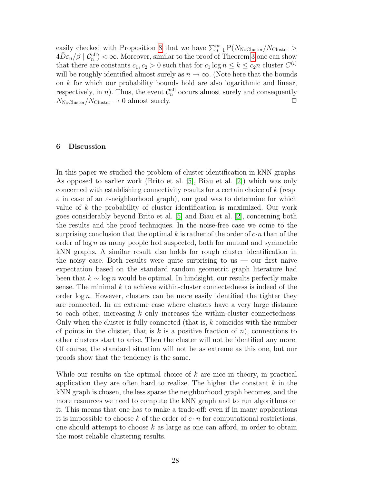easily checked with Proposition [8](#page-23-0) that we have  $\sum_{n=1}^{\infty} P(N_{\text{NoCluster}}/N_{\text{Cluster}})$  $4\bar{D}\varepsilon_n/\beta \mid \mathcal{C}_n^{\text{all}}$   $< \infty$ . Moreover, similar to the proof of Theorem [3](#page-14-1) one can show that there are constants  $c_1, c_2 > 0$  such that for  $c_1 \log n \leq k \leq c_2 n$  cluster  $C^{(i)}$ will be roughly identified almost surely as  $n \to \infty$ . (Note here that the bounds on  $k$  for which our probability bounds hold are also logarithmic and linear, respectively, in *n*). Thus, the event  $C_n^{\text{all}}$  occurs almost surely and consequently  $N_{\text{NoCluster}}/N_{\text{Cluster}} \rightarrow 0$  almost surely.

# 6 Discussion

In this paper we studied the problem of cluster identification in kNN graphs. As opposed to earlier work (Brito et al. [\[5\]](#page-29-5), Biau et al. [\[2\]](#page-29-6)) which was only concerned with establishing connectivity results for a certain choice of k (resp.  $\varepsilon$  in case of an  $\varepsilon$ -neighborhood graph), our goal was to determine for which value of k the probability of cluster identification is maximized. Our work goes considerably beyond Brito et al. [\[5\]](#page-29-5) and Biau et al. [\[2\]](#page-29-6), concerning both the results and the proof techniques. In the noise-free case we come to the surprising conclusion that the optimal k is rather of the order of  $c \cdot n$  than of the order of  $\log n$  as many people had suspected, both for mutual and symmetric kNN graphs. A similar result also holds for rough cluster identification in the noisy case. Both results were quite surprising to us — our first naive expectation based on the standard random geometric graph literature had been that  $k \sim \log n$  would be optimal. In hindsight, our results perfectly make sense. The minimal  $k$  to achieve within-cluster connectedness is indeed of the order  $\log n$ . However, clusters can be more easily identified the tighter they are connected. In an extreme case where clusters have a very large distance to each other, increasing k only increases the within-cluster connectedness. Only when the cluster is fully connected (that is,  $k$  coincides with the number of points in the cluster, that is k is a positive fraction of  $n$ ), connections to other clusters start to arise. Then the cluster will not be identified any more. Of course, the standard situation will not be as extreme as this one, but our proofs show that the tendency is the same.

While our results on the optimal choice of  $k$  are nice in theory, in practical application they are often hard to realize. The higher the constant  $k$  in the kNN graph is chosen, the less sparse the neighborhood graph becomes, and the more resources we need to compute the kNN graph and to run algorithms on it. This means that one has to make a trade-off: even if in many applications it is impossible to choose k of the order of  $c \cdot n$  for computational restrictions, one should attempt to choose  $k$  as large as one can afford, in order to obtain the most reliable clustering results.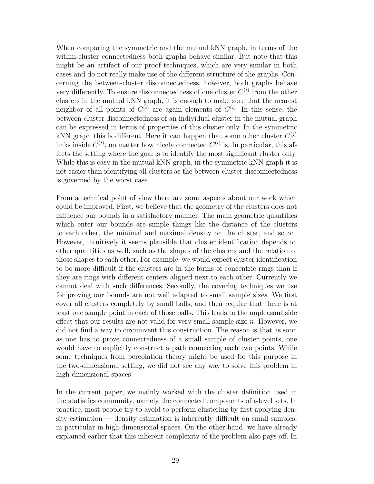When comparing the symmetric and the mutual kNN graph, in terms of the within-cluster connectedness both graphs behave similar. But note that this might be an artifact of our proof techniques, which are very similar in both cases and do not really make use of the different structure of the graphs. Concerning the between-cluster disconnectedness, however, both graphs behave very differently. To ensure disconnectedness of one cluster  $C^{(i)}$  from the other clusters in the mutual kNN graph, it is enough to make sure that the nearest neighbor of all points of  $C^{(i)}$  are again elements of  $C^{(i)}$ . In this sense, the between-cluster disconnectedness of an individual cluster in the mutual graph can be expressed in terms of properties of this cluster only. In the symmetric kNN graph this is different. Here it can happen that some other cluster  $C^{(j)}$ links inside  $C^{(i)}$ , no matter how nicely connected  $C^{(i)}$  is. In particular, this affects the setting where the goal is to identify the most significant cluster only. While this is easy in the mutual kNN graph, in the symmetric kNN graph it is not easier than identifying all clusters as the between-cluster disconnectedness is governed by the worst case.

From a technical point of view there are some aspects about our work which could be improved. First, we believe that the geometry of the clusters does not influence our bounds in a satisfactory manner. The main geometric quantities which enter our bounds are simple things like the distance of the clusters to each other, the minimal and maximal density on the cluster, and so on. However, intuitively it seems plausible that cluster identification depends on other quantities as well, such as the shapes of the clusters and the relation of those shapes to each other. For example, we would expect cluster identification to be more difficult if the clusters are in the forms of concentric rings than if they are rings with different centers aligned next to each other. Currently we cannot deal with such differences. Secondly, the covering techniques we use for proving our bounds are not well adapted to small sample sizes. We first cover all clusters completely by small balls, and then require that there is at least one sample point in each of those balls. This leads to the unpleasant side effect that our results are not valid for very small sample size  $n$ . However, we did not find a way to circumvent this construction. The reason is that as soon as one has to prove connectedness of a small sample of cluster points, one would have to explicitly construct a path connecting each two points. While some techniques from percolation theory might be used for this purpose in the two-dimensional setting, we did not see any way to solve this problem in high-dimensional spaces.

In the current paper, we mainly worked with the cluster definition used in the statistics community, namely the connected components of t-level sets. In practice, most people try to avoid to perform clustering by first applying density estimation — density estimation is inherently difficult on small samples, in particular in high-dimensional spaces. On the other hand, we have already explained earlier that this inherent complexity of the problem also pays off. In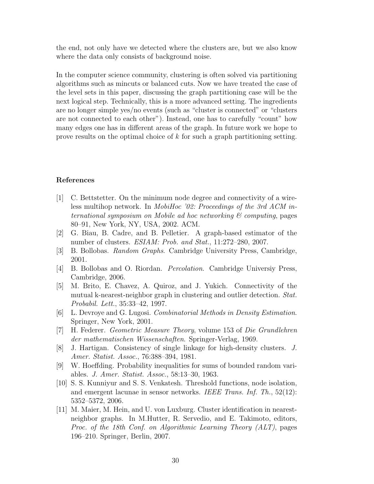the end, not only have we detected where the clusters are, but we also know where the data only consists of background noise.

In the computer science community, clustering is often solved via partitioning algorithms such as mincuts or balanced cuts. Now we have treated the case of the level sets in this paper, discussing the graph partitioning case will be the next logical step. Technically, this is a more advanced setting. The ingredients are no longer simple yes/no events (such as "cluster is connected" or "clusters are not connected to each other"). Instead, one has to carefully "count" how many edges one has in different areas of the graph. In future work we hope to prove results on the optimal choice of k for such a graph partitioning setting.

# References

- <span id="page-29-2"></span>[1] C. Bettstetter. On the minimum node degree and connectivity of a wireless multihop network. In MobiHoc '02: Proceedings of the 3rd ACM international symposium on Mobile ad hoc networking  $\mathcal C$  computing, pages 80–91, New York, NY, USA, 2002. ACM.
- <span id="page-29-6"></span>[2] G. Biau, B. Cadre, and B. Pelletier. A graph-based estimator of the number of clusters. *ESIAM: Prob. and Stat.*, 11:272–280, 2007.
- <span id="page-29-1"></span>[3] B. Bollobas. Random Graphs. Cambridge University Press, Cambridge, 2001.
- <span id="page-29-4"></span>[4] B. Bollobas and O. Riordan. Percolation. Cambridge Universiy Press, Cambridge, 2006.
- <span id="page-29-5"></span>[5] M. Brito, E. Chavez, A. Quiroz, and J. Yukich. Connectivity of the mutual k-nearest-neighbor graph in clustering and outlier detection. Stat. Probabil. Lett., 35:33–42, 1997.
- <span id="page-29-8"></span>[6] L. Devroye and G. Lugosi. Combinatorial Methods in Density Estimation. Springer, New York, 2001.
- <span id="page-29-10"></span>[7] H. Federer. Geometric Measure Theory, volume 153 of Die Grundlehren der mathematischen Wissenschaften. Springer-Verlag, 1969.
- <span id="page-29-0"></span>[8] J. Hartigan. Consistency of single linkage for high-density clusters. J. Amer. Statist. Assoc., 76:388–394, 1981.
- <span id="page-29-9"></span>[9] W. Hoeffding. Probability inequalities for sums of bounded random variables. J. Amer. Statist. Assoc., 58:13–30, 1963.
- <span id="page-29-3"></span>[10] S. S. Kunniyur and S. S. Venkatesh. Threshold functions, node isolation, and emergent lacunae in sensor networks. IEEE Trans. Inf. Th.,  $52(12)$ : 5352–5372, 2006.
- <span id="page-29-7"></span>[11] M. Maier, M. Hein, and U. von Luxburg. Cluster identification in nearestneighbor graphs. In M.Hutter, R. Servedio, and E. Takimoto, editors, Proc. of the 18th Conf. on Algorithmic Learning Theory (ALT), pages 196–210. Springer, Berlin, 2007.